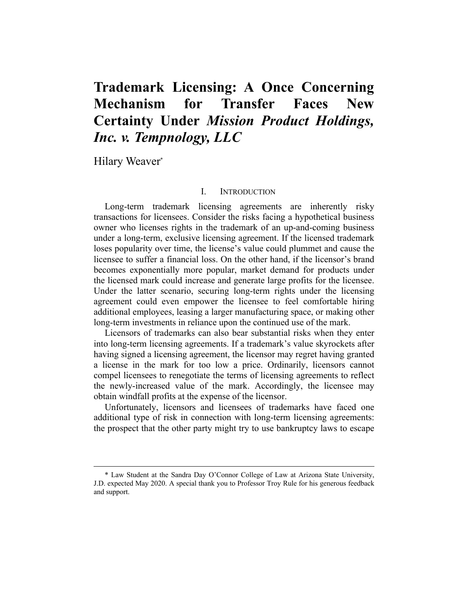# **Trademark Licensing: A Once Concerning Mechanism for Transfer Faces New Certainty Under** *Mission Product Holdings, Inc. v. Tempnology, LLC*

Hilary Weaver\*

# I. INTRODUCTION

Long-term trademark licensing agreements are inherently risky transactions for licensees. Consider the risks facing a hypothetical business owner who licenses rights in the trademark of an up-and-coming business under a long-term, exclusive licensing agreement. If the licensed trademark loses popularity over time, the license's value could plummet and cause the licensee to suffer a financial loss. On the other hand, if the licensor's brand becomes exponentially more popular, market demand for products under the licensed mark could increase and generate large profits for the licensee. Under the latter scenario, securing long-term rights under the licensing agreement could even empower the licensee to feel comfortable hiring additional employees, leasing a larger manufacturing space, or making other long-term investments in reliance upon the continued use of the mark.

Licensors of trademarks can also bear substantial risks when they enter into long-term licensing agreements. If a trademark's value skyrockets after having signed a licensing agreement, the licensor may regret having granted a license in the mark for too low a price. Ordinarily, licensors cannot compel licensees to renegotiate the terms of licensing agreements to reflect the newly-increased value of the mark. Accordingly, the licensee may obtain windfall profits at the expense of the licensor.

Unfortunately, licensors and licensees of trademarks have faced one additional type of risk in connection with long-term licensing agreements: the prospect that the other party might try to use bankruptcy laws to escape

<sup>\*</sup> Law Student at the Sandra Day O'Connor College of Law at Arizona State University, J.D. expected May 2020. A special thank you to Professor Troy Rule for his generous feedback and support.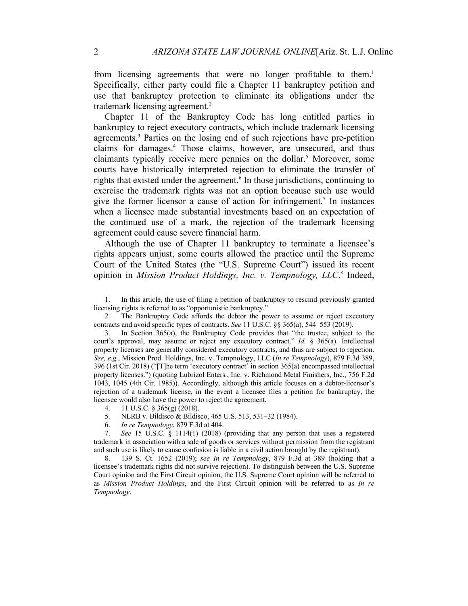from licensing agreements that were no longer profitable to them.<sup>1</sup> Specifically, either party could file a Chapter 11 bankruptcy petition and use that bankruptcy protection to eliminate its obligations under the trademark licensing agreement.<sup>2</sup>

Chapter 11 of the Bankruptcy Code has long entitled parties in bankruptcy to reject executory contracts, which include trademark licensing agreements. <sup>3</sup> Parties on the losing end of such rejections have pre-petition claims for damages. <sup>4</sup> Those claims, however, are unsecured, and thus claimants typically receive mere pennies on the dollar.<sup>5</sup> Moreover, some courts have historically interpreted rejection to eliminate the transfer of rights that existed under the agreement.<sup>6</sup> In those jurisdictions, continuing to exercise the trademark rights was not an option because such use would give the former licensor a cause of action for infringement.<sup>7</sup> In instances when a licensee made substantial investments based on an expectation of the continued use of a mark, the rejection of the trademark licensing agreement could cause severe financial harm.

Although the use of Chapter 11 bankruptcy to terminate a licensee's rights appears unjust, some courts allowed the practice until the Supreme Court of the United States (the "U.S. Supreme Court") issued its recent opinion in *Mission Product Holdings, Inc. v. Tempnology, LLC*. <sup>8</sup> Indeed,

- 5. NLRB v. Bildisco & Bildisco, 465 U.S. 513, 531–32 (1984).
- 6. *In re Tempnology*, 879 F.3d at 404.

<sup>1.</sup> In this article, the use of filing a petition of bankruptcy to rescind previously granted licensing rights is referred to as "opportunistic bankruptcy."

<sup>2.</sup> The Bankruptcy Code affords the debtor the power to assume or reject executory contracts and avoid specific types of contracts. *See* 11 U.S.C. §§ 365(a), 544–553 (2019).

<sup>3.</sup> In Section 365(a), the Bankruptcy Code provides that "the trustee, subject to the court's approval, may assume or reject any executory contract." *Id.* § 365(a). Intellectual property licenses are generally considered executory contracts, and thus are subject to rejection. *See, e.g.*, Mission Prod. Holdings, Inc. v. Tempnology, LLC (*In re Tempnology*), 879 F.3d 389, 396 (1st Cir. 2018) ("[T]he term 'executory contract' in section 365(a) encompassed intellectual property licenses.") (quoting Lubrizol Enters., Inc. v. Richmond Metal Finishers, Inc., 756 F.2d 1043, 1045 (4th Cir. 1985)). Accordingly, although this article focuses on a debtor-licensor's rejection of a trademark license, in the event a licensee files a petition for bankruptcy, the licensee would also have the power to reject the agreement.

<sup>4.</sup> 11 U.S.C. § 365(g) (2018).

<sup>7.</sup> *See* 15 U.S.C. § 1114(1) (2018) (providing that any person that uses a registered trademark in association with a sale of goods or services without permission from the registrant and such use is likely to cause confusion is liable in a civil action brought by the registrant).

<sup>8.</sup> 139 S. Ct. 1652 (2019); *see In re Tempnology*, 879 F.3d at 389 (holding that a licensee's trademark rights did not survive rejection). To distinguish between the U.S. Supreme Court opinion and the First Circuit opinion, the U.S. Supreme Court opinion will be referred to as *Mission Product Holdings*, and the First Circuit opinion will be referred to as *In re Tempnology*.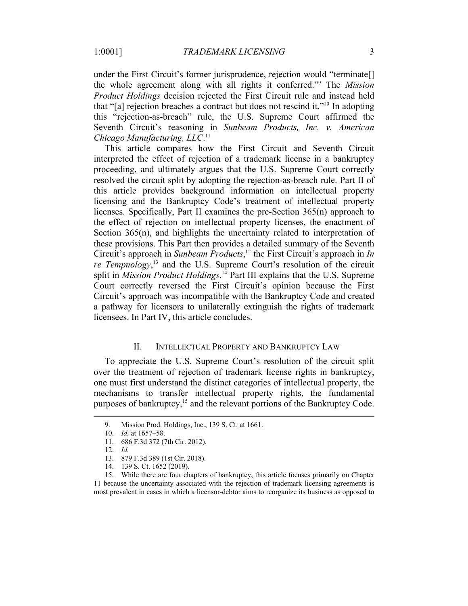under the First Circuit's former jurisprudence, rejection would "terminate. the whole agreement along with all rights it conferred."9 The *Mission Product Holdings* decision rejected the First Circuit rule and instead held that "[a] rejection breaches a contract but does not rescind it."10 In adopting this "rejection-as-breach" rule, the U.S. Supreme Court affirmed the Seventh Circuit's reasoning in *Sunbeam Products, Inc. v. American Chicago Manufacturing, LLC*. 11

This article compares how the First Circuit and Seventh Circuit interpreted the effect of rejection of a trademark license in a bankruptcy proceeding, and ultimately argues that the U.S. Supreme Court correctly resolved the circuit split by adopting the rejection-as-breach rule. Part II of this article provides background information on intellectual property licensing and the Bankruptcy Code's treatment of intellectual property licenses. Specifically, Part II examines the pre-Section 365(n) approach to the effect of rejection on intellectual property licenses, the enactment of Section 365(n), and highlights the uncertainty related to interpretation of these provisions. This Part then provides a detailed summary of the Seventh Circuit's approach in *Sunbeam Products*, <sup>12</sup> the First Circuit's approach in *In re Tempnology*<sup>13</sup> and the U.S. Supreme Court's resolution of the circuit split in *Mission Product Holdings*. <sup>14</sup> Part III explains that the U.S. Supreme Court correctly reversed the First Circuit's opinion because the First Circuit's approach was incompatible with the Bankruptcy Code and created a pathway for licensors to unilaterally extinguish the rights of trademark licensees. In Part IV, this article concludes.

# II. INTELLECTUAL PROPERTY AND BANKRUPTCY LAW

To appreciate the U.S. Supreme Court's resolution of the circuit split over the treatment of rejection of trademark license rights in bankruptcy, one must first understand the distinct categories of intellectual property, the mechanisms to transfer intellectual property rights, the fundamental purposes of bankruptcy,<sup>15</sup> and the relevant portions of the Bankruptcy Code.

<sup>9.</sup> Mission Prod. Holdings, Inc., 139 S. Ct. at 1661.

<sup>10.</sup> *Id.* at 1657–58.

<sup>11.</sup> 686 F.3d 372 (7th Cir. 2012).

<sup>12.</sup> *Id.*

<sup>13.</sup> 879 F.3d 389 (1st Cir. 2018).

<sup>14.</sup> 139 S. Ct. 1652 (2019).

<sup>15.</sup> While there are four chapters of bankruptcy, this article focuses primarily on Chapter 11 because the uncertainty associated with the rejection of trademark licensing agreements is most prevalent in cases in which a licensor-debtor aims to reorganize its business as opposed to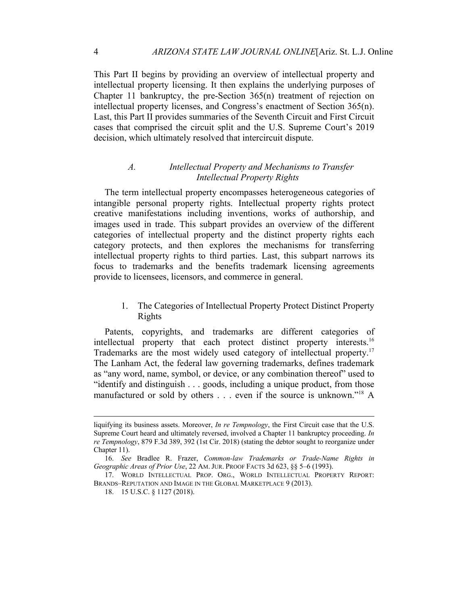This Part II begins by providing an overview of intellectual property and intellectual property licensing. It then explains the underlying purposes of Chapter 11 bankruptcy, the pre-Section 365(n) treatment of rejection on intellectual property licenses, and Congress's enactment of Section 365(n). Last, this Part II provides summaries of the Seventh Circuit and First Circuit cases that comprised the circuit split and the U.S. Supreme Court's 2019 decision, which ultimately resolved that intercircuit dispute.

# *A. Intellectual Property and Mechanisms to Transfer Intellectual Property Rights*

The term intellectual property encompasses heterogeneous categories of intangible personal property rights. Intellectual property rights protect creative manifestations including inventions, works of authorship, and images used in trade. This subpart provides an overview of the different categories of intellectual property and the distinct property rights each category protects, and then explores the mechanisms for transferring intellectual property rights to third parties. Last, this subpart narrows its focus to trademarks and the benefits trademark licensing agreements provide to licensees, licensors, and commerce in general.

# 1. The Categories of Intellectual Property Protect Distinct Property Rights

Patents, copyrights, and trademarks are different categories of intellectual property that each protect distinct property interests.<sup>16</sup> Trademarks are the most widely used category of intellectual property.17 The Lanham Act, the federal law governing trademarks, defines trademark as "any word, name, symbol, or device, or any combination thereof" used to "identify and distinguish . . . goods, including a unique product, from those manufactured or sold by others . . . even if the source is unknown."<sup>18</sup> A

liquifying its business assets. Moreover, *In re Tempnology*, the First Circuit case that the U.S. Supreme Court heard and ultimately reversed, involved a Chapter 11 bankruptcy proceeding. *In re Tempnology*, 879 F.3d 389, 392 (1st Cir. 2018) (stating the debtor sought to reorganize under Chapter 11).

<sup>16.</sup> *See* Bradlee R. Frazer, *Common-law Trademarks or Trade-Name Rights in Geographic Areas of Prior Use*, 22 AM.JUR. PROOF FACTS 3d 623, §§ 5–6 (1993).

<sup>17.</sup> WORLD INTELLECTUAL PROP. ORG., WORLD INTELLECTUAL PROPERTY REPORT: BRANDS–REPUTATION AND IMAGE IN THE GLOBAL MARKETPLACE 9 (2013).

<sup>18.</sup> 15 U.S.C. § 1127 (2018).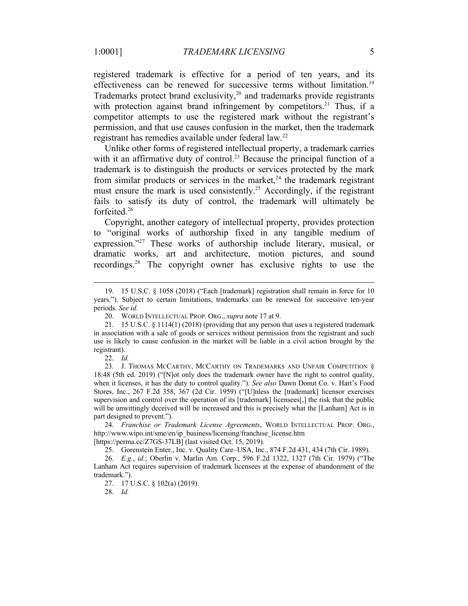registered trademark is effective for a period of ten years, and its effectiveness can be renewed for successive terms without limitation.<sup>19</sup> Trademarks protect brand exclusivity, $2^0$  and trademarks provide registrants with protection against brand infringement by competitors.<sup>21</sup> Thus, if a competitor attempts to use the registered mark without the registrant's permission, and that use causes confusion in the market, then the trademark registrant has remedies available under federal law.22

Unlike other forms of registered intellectual property, a trademark carries with it an affirmative duty of control.<sup>23</sup> Because the principal function of a trademark is to distinguish the products or services protected by the mark from similar products or services in the market,<sup>24</sup> the trademark registrant must ensure the mark is used consistently.<sup>25</sup> Accordingly, if the registrant fails to satisfy its duty of control, the trademark will ultimately be forfeited.26

Copyright, another category of intellectual property, provides protection to "original works of authorship fixed in any tangible medium of expression."<sup>27</sup> These works of authorship include literary, musical, or dramatic works, art and architecture, motion pictures, and sound recordings.28 The copyright owner has exclusive rights to use the

[https://perma.cc/Z7GS-37LB] (last visited Oct. 15, 2019).

25. Gorenstein Enter., Inc. v. Quality Care–USA, Inc., 874 F.2d 431, 434 (7th Cir. 1989).

26. *E.g.*, *id.*; Oberlin v. Marlin Am. Corp., 596 F.2d 1322, 1327 (7th Cir. 1979) ("The Lanham Act requires supervision of trademark licensees at the expense of abandonment of the trademark.").

27. 17 U.S.C. § 102(a) (2019).

28. *Id.*

<sup>19.</sup> 15 U.S.C. § 1058 (2018) ("Each [trademark] registration shall remain in force for 10 years."). Subject to certain limitations, trademarks can be renewed for successive ten-year periods. *See id.*

<sup>20.</sup> WORLD INTELLECTUAL PROP. ORG., *supra* note 17 at 9.

<sup>21.</sup> 15 U.S.C. § 1114(1) (2018) (providing that any person that uses a registered trademark in association with a sale of goods or services without permission from the registrant and such use is likely to cause confusion in the market will be liable in a civil action brought by the registrant).

<sup>22.</sup> *Id.*

<sup>23.</sup> J. THOMAS MCCARTHY, MCCARTHY ON TRADEMARKS AND UNFAIR COMPETITION § 18:48 (5th ed. 2019) ("[N]ot only does the trademark owner have the right to control quality, when it licenses, it has the duty to control quality."). *See also* Dawn Donut Co. v. Hart's Food Stores, Inc., 267 F.2d 358, 367 (2d Cir. 1959) ("[U]nless the [trademark] licensor exercises supervision and control over the operation of its [trademark] licensees[,] the risk that the public will be unwittingly deceived will be increased and this is precisely what the [Lanham] Act is in part designed to prevent.").

<sup>24.</sup> *Franchise or Trademark License Agreements*, WORLD INTELLECTUAL PROP. ORG., http://www.wipo.int/sme/en/ip\_business/licensing/franchise\_license.htm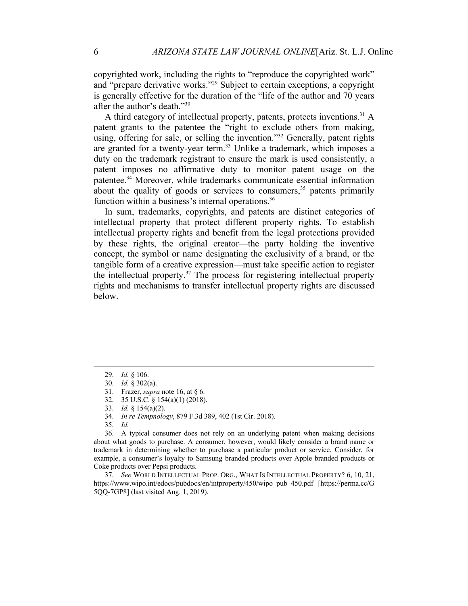copyrighted work, including the rights to "reproduce the copyrighted work" and "prepare derivative works."29 Subject to certain exceptions, a copyright is generally effective for the duration of the "life of the author and 70 years after the author's death."30

A third category of intellectual property, patents, protects inventions.<sup>31</sup> A patent grants to the patentee the "right to exclude others from making, using, offering for sale, or selling the invention."<sup>32</sup> Generally, patent rights are granted for a twenty-year term.<sup>33</sup> Unlike a trademark, which imposes a duty on the trademark registrant to ensure the mark is used consistently, a patent imposes no affirmative duty to monitor patent usage on the patentee.34 Moreover, while trademarks communicate essential information about the quality of goods or services to consumers,<sup>35</sup> patents primarily function within a business's internal operations.<sup>36</sup>

In sum, trademarks, copyrights, and patents are distinct categories of intellectual property that protect different property rights. To establish intellectual property rights and benefit from the legal protections provided by these rights, the original creator—the party holding the inventive concept, the symbol or name designating the exclusivity of a brand, or the tangible form of a creative expression—must take specific action to register the intellectual property.<sup>37</sup> The process for registering intellectual property rights and mechanisms to transfer intellectual property rights are discussed below.

37. *See* WORLD INTELLECTUAL PROP. ORG., WHAT IS INTELLECTUAL PROPERTY? 6, 10, 21, https://www.wipo.int/edocs/pubdocs/en/intproperty/450/wipo\_pub\_450.pdf [https://perma.cc/G 5QQ-7GP8] (last visited Aug. 1, 2019).

<sup>29.</sup> *Id.* § 106.

<sup>30.</sup> *Id.* § 302(a).

<sup>31.</sup> Frazer, *supra* note 16, at § 6.

<sup>32.</sup> 35 U.S.C. § 154(a)(1) (2018).

<sup>33.</sup> *Id.* § 154(a)(2).

<sup>34.</sup> *In re Tempnology*, 879 F.3d 389, 402 (1st Cir. 2018).

<sup>35.</sup> *Id.*

<sup>36.</sup> A typical consumer does not rely on an underlying patent when making decisions about what goods to purchase. A consumer, however, would likely consider a brand name or trademark in determining whether to purchase a particular product or service. Consider, for example, a consumer's loyalty to Samsung branded products over Apple branded products or Coke products over Pepsi products.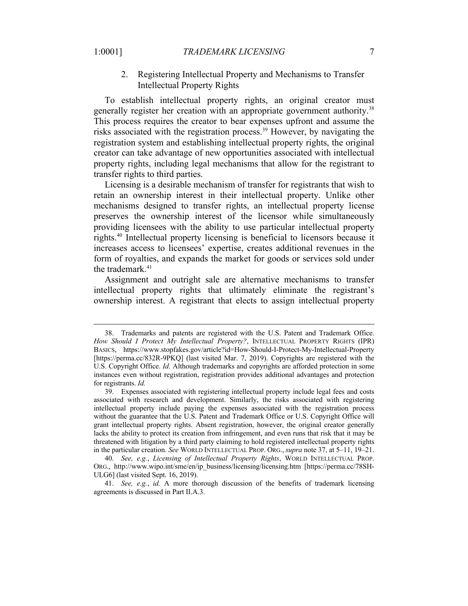2. Registering Intellectual Property and Mechanisms to Transfer Intellectual Property Rights

To establish intellectual property rights, an original creator must generally register her creation with an appropriate government authority.<sup>38</sup> This process requires the creator to bear expenses upfront and assume the risks associated with the registration process.<sup>39</sup> However, by navigating the registration system and establishing intellectual property rights, the original creator can take advantage of new opportunities associated with intellectual property rights, including legal mechanisms that allow for the registrant to transfer rights to third parties.

Licensing is a desirable mechanism of transfer for registrants that wish to retain an ownership interest in their intellectual property. Unlike other mechanisms designed to transfer rights, an intellectual property license preserves the ownership interest of the licensor while simultaneously providing licensees with the ability to use particular intellectual property rights.40 Intellectual property licensing is beneficial to licensors because it increases access to licensees' expertise, creates additional revenues in the form of royalties, and expands the market for goods or services sold under the trademark.<sup>41</sup>

Assignment and outright sale are alternative mechanisms to transfer intellectual property rights that ultimately eliminate the registrant's ownership interest. A registrant that elects to assign intellectual property

<sup>38.</sup> Trademarks and patents are registered with the U.S. Patent and Trademark Office. *How Should I Protect My Intellectual Property?*, INTELLECTUAL PROPERTY RIGHTS (IPR) BASICS, https://www.stopfakes.gov/article?id=How-Should-I-Protect-My-Intellectual-Property [https://perma.cc/832R-9PKQ] (last visited Mar. 7, 2019). Copyrights are registered with the U.S. Copyright Office. *Id.* Although trademarks and copyrights are afforded protection in some instances even without registration, registration provides additional advantages and protection for registrants. *Id.*

<sup>39.</sup> Expenses associated with registering intellectual property include legal fees and costs associated with research and development. Similarly, the risks associated with registering intellectual property include paying the expenses associated with the registration process without the guarantee that the U.S. Patent and Trademark Office or U.S. Copyright Office will grant intellectual property rights. Absent registration, however, the original creator generally lacks the ability to protect its creation from infringement, and even runs that risk that it may be threatened with litigation by a third party claiming to hold registered intellectual property rights in the particular creation. *See* WORLD INTELLECTUAL PROP. ORG.,*supra* note 37, at 5–11, 19–21.

<sup>40.</sup> *See, e.g.*, *Licensing of Intellectual Property Rights*, WORLD INTELLECTUAL PROP. ORG., http://www.wipo.int/sme/en/ip\_business/licensing/licensing.htm [https://perma.cc/78SH-ULG6] (last visited Sept. 16, 2019).

<sup>41.</sup> *See, e.g.*, *id.* A more thorough discussion of the benefits of trademark licensing agreements is discussed in Part II.A.3.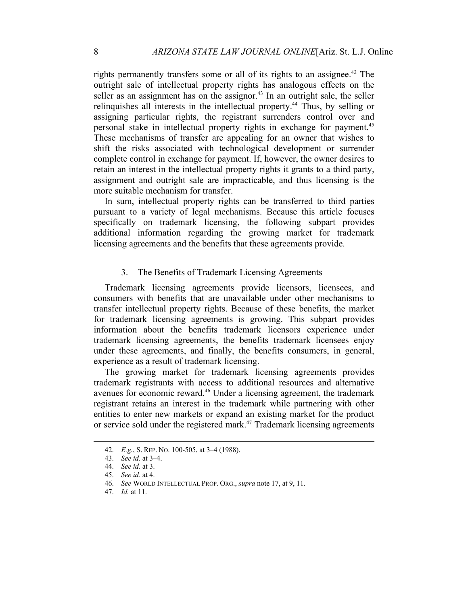rights permanently transfers some or all of its rights to an assignee.<sup> $42$ </sup> The outright sale of intellectual property rights has analogous effects on the seller as an assignment has on the assignor.<sup>43</sup> In an outright sale, the seller relinguishes all interests in the intellectual property.<sup>44</sup> Thus, by selling or assigning particular rights, the registrant surrenders control over and personal stake in intellectual property rights in exchange for payment.45 These mechanisms of transfer are appealing for an owner that wishes to shift the risks associated with technological development or surrender complete control in exchange for payment. If, however, the owner desires to retain an interest in the intellectual property rights it grants to a third party, assignment and outright sale are impracticable, and thus licensing is the more suitable mechanism for transfer.

In sum, intellectual property rights can be transferred to third parties pursuant to a variety of legal mechanisms. Because this article focuses specifically on trademark licensing, the following subpart provides additional information regarding the growing market for trademark licensing agreements and the benefits that these agreements provide.

#### 3. The Benefits of Trademark Licensing Agreements

Trademark licensing agreements provide licensors, licensees, and consumers with benefits that are unavailable under other mechanisms to transfer intellectual property rights. Because of these benefits, the market for trademark licensing agreements is growing. This subpart provides information about the benefits trademark licensors experience under trademark licensing agreements, the benefits trademark licensees enjoy under these agreements, and finally, the benefits consumers, in general, experience as a result of trademark licensing.

The growing market for trademark licensing agreements provides trademark registrants with access to additional resources and alternative avenues for economic reward.46 Under a licensing agreement, the trademark registrant retains an interest in the trademark while partnering with other entities to enter new markets or expand an existing market for the product or service sold under the registered mark.<sup>47</sup> Trademark licensing agreements

<sup>42.</sup> *E.g.*, S. REP. NO. 100-505, at 3–4 (1988).

<sup>43.</sup> *See id.* at 3–4.

<sup>44.</sup> *See id.* at 3.

<sup>45.</sup> *See id.* at 4.

<sup>46.</sup> *See* WORLD INTELLECTUAL PROP. ORG., *supra* note 17, at 9, 11.

<sup>47.</sup> *Id.* at 11.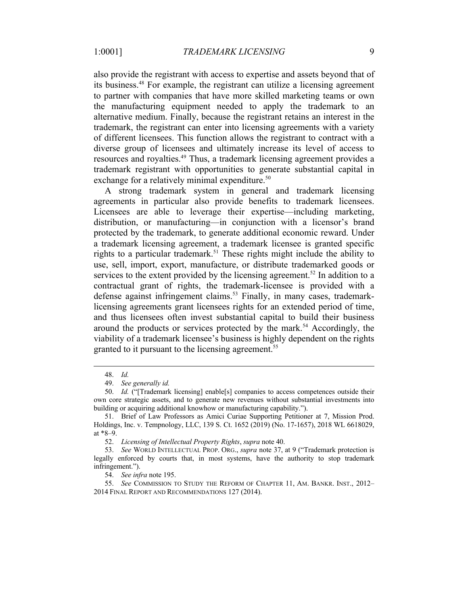also provide the registrant with access to expertise and assets beyond that of its business.48 For example, the registrant can utilize a licensing agreement to partner with companies that have more skilled marketing teams or own the manufacturing equipment needed to apply the trademark to an alternative medium. Finally, because the registrant retains an interest in the trademark, the registrant can enter into licensing agreements with a variety of different licensees. This function allows the registrant to contract with a diverse group of licensees and ultimately increase its level of access to resources and royalties.<sup>49</sup> Thus, a trademark licensing agreement provides a trademark registrant with opportunities to generate substantial capital in exchange for a relatively minimal expenditure.<sup>50</sup>

A strong trademark system in general and trademark licensing agreements in particular also provide benefits to trademark licensees. Licensees are able to leverage their expertise—including marketing, distribution, or manufacturing—in conjunction with a licensor's brand protected by the trademark, to generate additional economic reward. Under a trademark licensing agreement, a trademark licensee is granted specific rights to a particular trademark.<sup>51</sup> These rights might include the ability to use, sell, import, export, manufacture, or distribute trademarked goods or services to the extent provided by the licensing agreement.<sup>52</sup> In addition to a contractual grant of rights, the trademark-licensee is provided with a defense against infringement claims.<sup>53</sup> Finally, in many cases, trademarklicensing agreements grant licensees rights for an extended period of time, and thus licensees often invest substantial capital to build their business around the products or services protected by the mark.<sup>54</sup> Accordingly, the viability of a trademark licensee's business is highly dependent on the rights granted to it pursuant to the licensing agreement.<sup>55</sup>

<sup>48.</sup> *Id.*

<sup>49.</sup> *See generally id.* 

<sup>50.</sup> *Id.* ("[Trademark licensing] enable[s] companies to access competences outside their own core strategic assets, and to generate new revenues without substantial investments into building or acquiring additional knowhow or manufacturing capability.").

<sup>51.</sup> Brief of Law Professors as Amici Curiae Supporting Petitioner at 7, Mission Prod. Holdings, Inc. v. Tempnology, LLC, 139 S. Ct. 1652 (2019) (No. 17-1657), 2018 WL 6618029, at \*8–9.

<sup>52.</sup> *Licensing of Intellectual Property Rights*, *supra* note 40.

<sup>53.</sup> *See* WORLD INTELLECTUAL PROP. ORG., *supra* note 37, at 9 ("Trademark protection is legally enforced by courts that, in most systems, have the authority to stop trademark infringement.").

<sup>54.</sup> *See infra* note 195.

<sup>55.</sup> *See* COMMISSION TO STUDY THE REFORM OF CHAPTER 11, AM. BANKR. INST., 2012– 2014 FINAL REPORT AND RECOMMENDATIONS 127 (2014).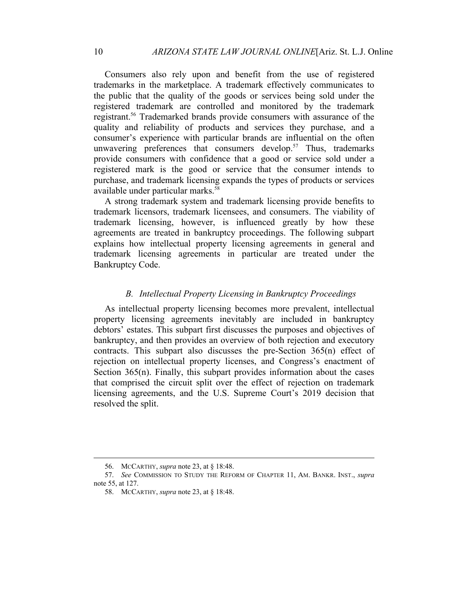Consumers also rely upon and benefit from the use of registered trademarks in the marketplace. A trademark effectively communicates to the public that the quality of the goods or services being sold under the registered trademark are controlled and monitored by the trademark registrant.56 Trademarked brands provide consumers with assurance of the quality and reliability of products and services they purchase, and a consumer's experience with particular brands are influential on the often unwavering preferences that consumers develop.<sup>57</sup> Thus, trademarks provide consumers with confidence that a good or service sold under a registered mark is the good or service that the consumer intends to purchase, and trademark licensing expands the types of products or services available under particular marks.<sup>58</sup>

A strong trademark system and trademark licensing provide benefits to trademark licensors, trademark licensees, and consumers. The viability of trademark licensing, however, is influenced greatly by how these agreements are treated in bankruptcy proceedings. The following subpart explains how intellectual property licensing agreements in general and trademark licensing agreements in particular are treated under the Bankruptcy Code.

## *B. Intellectual Property Licensing in Bankruptcy Proceedings*

As intellectual property licensing becomes more prevalent, intellectual property licensing agreements inevitably are included in bankruptcy debtors' estates. This subpart first discusses the purposes and objectives of bankruptcy, and then provides an overview of both rejection and executory contracts. This subpart also discusses the pre-Section 365(n) effect of rejection on intellectual property licenses, and Congress's enactment of Section  $365(n)$ . Finally, this subpart provides information about the cases that comprised the circuit split over the effect of rejection on trademark licensing agreements, and the U.S. Supreme Court's 2019 decision that resolved the split.

<sup>56.</sup> MCCARTHY, *supra* note 23, at § 18:48.

<sup>57.</sup> *See* COMMISSION TO STUDY THE REFORM OF CHAPTER 11, AM. BANKR. INST., *supra*  note 55, at 127.

<sup>58.</sup> MCCARTHY, *supra* note 23, at § 18:48.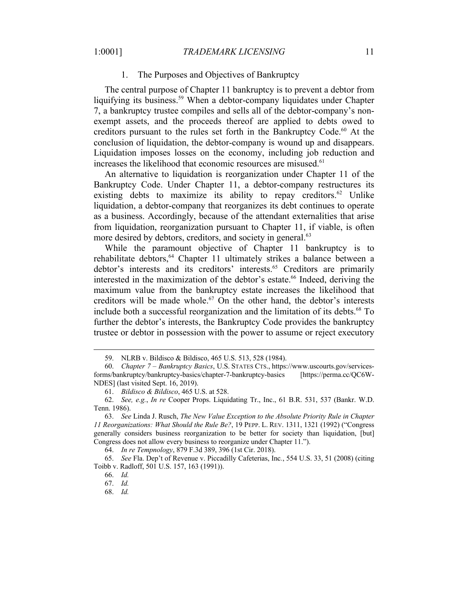#### 1. The Purposes and Objectives of Bankruptcy

The central purpose of Chapter 11 bankruptcy is to prevent a debtor from liquifying its business.<sup>59</sup> When a debtor-company liquidates under Chapter 7, a bankruptcy trustee compiles and sells all of the debtor-company's nonexempt assets, and the proceeds thereof are applied to debts owed to creditors pursuant to the rules set forth in the Bankruptcy Code. <sup>60</sup> At the conclusion of liquidation, the debtor-company is wound up and disappears. Liquidation imposes losses on the economy, including job reduction and increases the likelihood that economic resources are misused.<sup>61</sup>

An alternative to liquidation is reorganization under Chapter 11 of the Bankruptcy Code. Under Chapter 11, a debtor-company restructures its existing debts to maximize its ability to repay creditors.<sup>62</sup> Unlike liquidation, a debtor-company that reorganizes its debt continues to operate as a business. Accordingly, because of the attendant externalities that arise from liquidation, reorganization pursuant to Chapter 11, if viable, is often more desired by debtors, creditors, and society in general.<sup>63</sup>

While the paramount objective of Chapter 11 bankruptcy is to rehabilitate debtors,<sup>64</sup> Chapter 11 ultimately strikes a balance between a debtor's interests and its creditors' interests.<sup>65</sup> Creditors are primarily interested in the maximization of the debtor's estate.<sup>66</sup> Indeed, deriving the maximum value from the bankruptcy estate increases the likelihood that creditors will be made whole.<sup>67</sup> On the other hand, the debtor's interests include both a successful reorganization and the limitation of its debts.<sup>68</sup> To further the debtor's interests, the Bankruptcy Code provides the bankruptcy trustee or debtor in possession with the power to assume or reject executory

68. *Id.*

<sup>59.</sup> NLRB v. Bildisco & Bildisco, 465 U.S. 513, 528 (1984).

<sup>60.</sup> *Chapter 7 – Bankruptcy Basics*, U.S. STATES CTS., https://www.uscourts.gov/servicesforms/bankruptcy/bankruptcy-basics/chapter-7-bankruptcy-basics [https://perma.cc/QC6W-NDES] (last visited Sept. 16, 2019).

<sup>61.</sup> *Bildisco & Bildisco*, 465 U.S. at 528.

<sup>62.</sup> *See, e.g.*, *In re* Cooper Props. Liquidating Tr., Inc., 61 B.R. 531, 537 (Bankr. W.D. Tenn. 1986).

<sup>63.</sup> *See* Linda J. Rusch, *The New Value Exception to the Absolute Priority Rule in Chapter 11 Reorganizations: What Should the Rule Be?*, 19 PEPP. L. REV. 1311, 1321 (1992) ("Congress generally considers business reorganization to be better for society than liquidation, [but] Congress does not allow every business to reorganize under Chapter 11.").

<sup>64.</sup> *In re Tempnology*, 879 F.3d 389, 396 (1st Cir. 2018).

<sup>65.</sup> *See* Fla. Dep't of Revenue v. Piccadilly Cafeterias, Inc*.*, 554 U.S. 33, 51 (2008) (citing Toibb v. Radloff, 501 U.S. 157, 163 (1991)).

<sup>66.</sup> *Id.*

<sup>67.</sup> *Id.*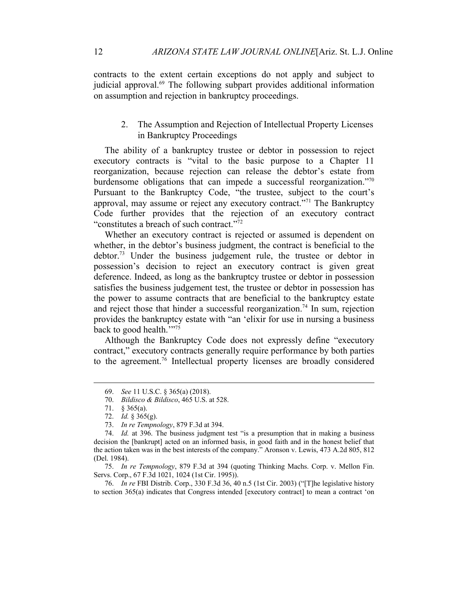contracts to the extent certain exceptions do not apply and subject to judicial approval.<sup>69</sup> The following subpart provides additional information on assumption and rejection in bankruptcy proceedings.

2. The Assumption and Rejection of Intellectual Property Licenses in Bankruptcy Proceedings

The ability of a bankruptcy trustee or debtor in possession to reject executory contracts is "vital to the basic purpose to a Chapter 11 reorganization, because rejection can release the debtor's estate from burdensome obligations that can impede a successful reorganization."<sup>70</sup> Pursuant to the Bankruptcy Code, "the trustee, subject to the court's approval, may assume or reject any executory contract."71 The Bankruptcy Code further provides that the rejection of an executory contract "constitutes a breach of such contract."72

Whether an executory contract is rejected or assumed is dependent on whether, in the debtor's business judgment, the contract is beneficial to the debtor. <sup>73</sup> Under the business judgement rule, the trustee or debtor in possession's decision to reject an executory contract is given great deference. Indeed, as long as the bankruptcy trustee or debtor in possession satisfies the business judgement test, the trustee or debtor in possession has the power to assume contracts that are beneficial to the bankruptcy estate and reject those that hinder a successful reorganization.<sup>74</sup> In sum, rejection provides the bankruptcy estate with "an 'elixir for use in nursing a business back to good health."<sup>75</sup>

Although the Bankruptcy Code does not expressly define "executory contract," executory contracts generally require performance by both parties to the agreement.76 Intellectual property licenses are broadly considered

75. *In re Tempnology*, 879 F.3d at 394 (quoting Thinking Machs. Corp. v. Mellon Fin. Servs. Corp., 67 F.3d 1021, 1024 (1st Cir. 1995)).

76. *In re* FBI Distrib. Corp., 330 F.3d 36, 40 n.5 (1st Cir. 2003) ("[T]he legislative history to section 365(a) indicates that Congress intended [executory contract] to mean a contract 'on

<sup>69.</sup> *See* 11 U.S.C. § 365(a) (2018).

<sup>70.</sup> *Bildisco & Bildisco*, 465 U.S. at 528.

<sup>71.</sup> § 365(a).

<sup>72.</sup> *Id.* § 365(g).

<sup>73.</sup> *In re Tempnology*, 879 F.3d at 394.

<sup>74.</sup> *Id.* at 396. The business judgment test "is a presumption that in making a business decision the [bankrupt] acted on an informed basis, in good faith and in the honest belief that the action taken was in the best interests of the company." Aronson v. Lewis, 473 A.2d 805, 812 (Del. 1984).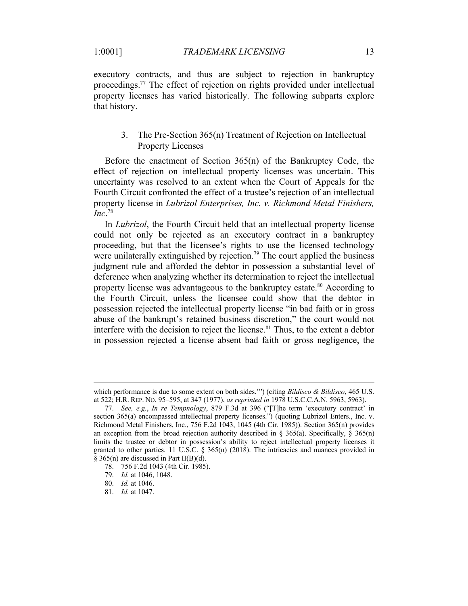executory contracts, and thus are subject to rejection in bankruptcy proceedings.77 The effect of rejection on rights provided under intellectual property licenses has varied historically. The following subparts explore that history.

# 3. The Pre-Section 365(n) Treatment of Rejection on Intellectual Property Licenses

Before the enactment of Section 365(n) of the Bankruptcy Code, the effect of rejection on intellectual property licenses was uncertain. This uncertainty was resolved to an extent when the Court of Appeals for the Fourth Circuit confronted the effect of a trustee's rejection of an intellectual property license in *Lubrizol Enterprises, Inc. v. Richmond Metal Finishers, Inc*. 78

In *Lubrizol*, the Fourth Circuit held that an intellectual property license could not only be rejected as an executory contract in a bankruptcy proceeding, but that the licensee's rights to use the licensed technology were unilaterally extinguished by rejection.<sup>79</sup> The court applied the business judgment rule and afforded the debtor in possession a substantial level of deference when analyzing whether its determination to reject the intellectual property license was advantageous to the bankruptcy estate.<sup>80</sup> According to the Fourth Circuit, unless the licensee could show that the debtor in possession rejected the intellectual property license "in bad faith or in gross abuse of the bankrupt's retained business discretion," the court would not interfere with the decision to reject the license.<sup>81</sup> Thus, to the extent a debtor in possession rejected a license absent bad faith or gross negligence, the

which performance is due to some extent on both sides.'") (citing *Bildisco & Bildisco*, 465 U.S. at 522; H.R. REP. NO. 95–595, at 347 (1977), *as reprinted in* 1978 U.S.C.C.A.N. 5963, 5963).

<sup>77.</sup> *See, e.g.*, *In re Tempnology*, 879 F.3d at 396 ("[T]he term 'executory contract' in section 365(a) encompassed intellectual property licenses.") (quoting Lubrizol Enters., Inc. v. Richmond Metal Finishers, Inc., 756 F.2d 1043, 1045 (4th Cir. 1985)). Section 365(n) provides an exception from the broad rejection authority described in § 365(a). Specifically, § 365(n) limits the trustee or debtor in possession's ability to reject intellectual property licenses it granted to other parties. 11 U.S.C. § 365(n) (2018). The intricacies and nuances provided in § 365(n) are discussed in Part II(B)(d).

<sup>78.</sup> 756 F.2d 1043 (4th Cir. 1985).

<sup>79.</sup> *Id.* at 1046, 1048.

<sup>80.</sup> *Id.* at 1046.

<sup>81.</sup> *Id.* at 1047.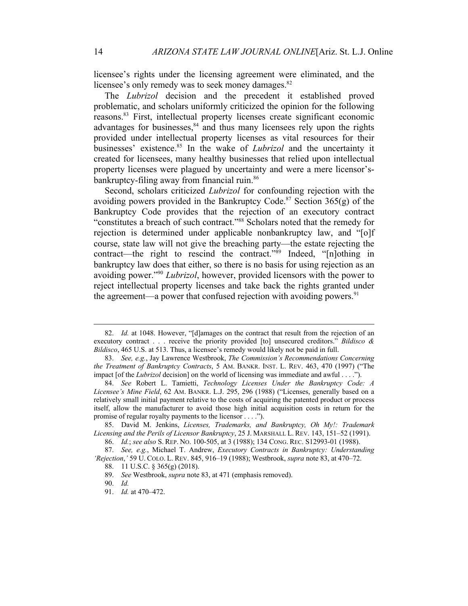licensee's rights under the licensing agreement were eliminated, and the licensee's only remedy was to seek money damages.<sup>82</sup>

The *Lubrizol* decision and the precedent it established proved problematic, and scholars uniformly criticized the opinion for the following reasons.83 First, intellectual property licenses create significant economic advantages for businesses, $84$  and thus many licensees rely upon the rights provided under intellectual property licenses as vital resources for their businesses' existence.<sup>85</sup> In the wake of *Lubrizol* and the uncertainty it created for licensees, many healthy businesses that relied upon intellectual property licenses were plagued by uncertainty and were a mere licensor'sbankruptcy-filing away from financial ruin.<sup>86</sup>

Second, scholars criticized *Lubrizol* for confounding rejection with the avoiding powers provided in the Bankruptcy Code.<sup>87</sup> Section  $365(g)$  of the Bankruptcy Code provides that the rejection of an executory contract "constitutes a breach of such contract."88 Scholars noted that the remedy for rejection is determined under applicable nonbankruptcy law, and "[o]f course, state law will not give the breaching party—the estate rejecting the contract—the right to rescind the contract."89 Indeed, "[n]othing in bankruptcy law does that either, so there is no basis for using rejection as an avoiding power."90 *Lubrizol*, however, provided licensors with the power to reject intellectual property licenses and take back the rights granted under the agreement—a power that confused rejection with avoiding powers.  $91$ 

<sup>82.</sup> *Id.* at 1048. However, "[d]amages on the contract that result from the rejection of an executory contract . . . receive the priority provided [to] unsecured creditors." *Bildisco & Bildisco*, 465 U.S. at 513. Thus, a licensee's remedy would likely not be paid in full.

<sup>83.</sup> *See, e.g.*, Jay Lawrence Westbrook, *The Commission's Recommendations Concerning the Treatment of Bankruptcy Contracts*, 5 AM. BANKR. INST. L. REV. 463, 470 (1997) ("The impact [of the *Lubrizol* decision] on the world of licensing was immediate and awful . . . .").

<sup>84.</sup> *See* Robert L. Tamietti, *Technology Licenses Under the Bankruptcy Code: A Licensee's Mine Field*, 62 AM. BANKR. L.J. 295, 296 (1988) ("Licenses, generally based on a relatively small initial payment relative to the costs of acquiring the patented product or process itself, allow the manufacturer to avoid those high initial acquisition costs in return for the promise of regular royalty payments to the licensor . . . .").

<sup>85.</sup> David M. Jenkins, *Licenses, Trademarks, and Bankruptcy, Oh My!: Trademark Licensing and the Perils of Licensor Bankruptcy*, 25 J. MARSHALL L. REV. 143, 151–52 (1991).

<sup>86.</sup> *Id.*; *see also* S. REP. NO. 100-505, at 3 (1988); 134 CONG. REC. S12993-01 (1988).

<sup>87.</sup> *See, e.g.*, Michael T. Andrew, *Executory Contracts in Bankruptcy: Understanding 'Rejection*,*'* 59 U. COLO. L. REV. 845, 916–19 (1988); Westbrook, *supra* note 83, at 470–72.

<sup>88.</sup> 11 U.S.C. § 365(g) (2018).

<sup>89.</sup> *See* Westbrook, *supra* note 83, at 471 (emphasis removed).

<sup>90.</sup> *Id.*

<sup>91.</sup> *Id.* at 470–472.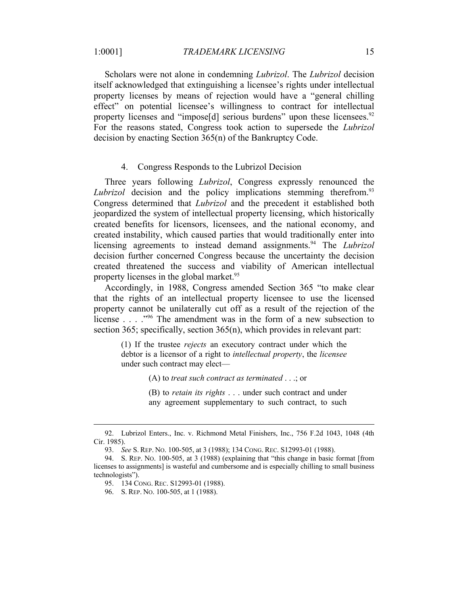Scholars were not alone in condemning *Lubrizol*. The *Lubrizol* decision itself acknowledged that extinguishing a licensee's rights under intellectual property licenses by means of rejection would have a "general chilling effect" on potential licensee's willingness to contract for intellectual property licenses and "impose[d] serious burdens" upon these licensees.<sup>92</sup> For the reasons stated, Congress took action to supersede the *Lubrizol* decision by enacting Section 365(n) of the Bankruptcy Code.

#### 4. Congress Responds to the Lubrizol Decision

Three years following *Lubrizol*, Congress expressly renounced the Lubrizol decision and the policy implications stemming therefrom.<sup>93</sup> Congress determined that *Lubrizol* and the precedent it established both jeopardized the system of intellectual property licensing, which historically created benefits for licensors, licensees, and the national economy, and created instability, which caused parties that would traditionally enter into licensing agreements to instead demand assignments.<sup>94</sup> The *Lubrizol* decision further concerned Congress because the uncertainty the decision created threatened the success and viability of American intellectual property licenses in the global market.<sup>95</sup>

Accordingly, in 1988, Congress amended Section 365 "to make clear that the rights of an intellectual property licensee to use the licensed property cannot be unilaterally cut off as a result of the rejection of the license  $\ldots$  . . . . . . The amendment was in the form of a new subsection to section 365; specifically, section 365(n), which provides in relevant part:

(1) If the trustee *rejects* an executory contract under which the debtor is a licensor of a right to *intellectual property*, the *licensee* under such contract may elect—

(A) to *treat such contract as terminated* . . .; or

(B) to *retain its rights* . . . under such contract and under any agreement supplementary to such contract, to such

96. S. REP. NO. 100-505, at 1 (1988).

<sup>92.</sup> Lubrizol Enters., Inc. v. Richmond Metal Finishers, Inc., 756 F.2d 1043, 1048 (4th Cir. 1985).

<sup>93.</sup> *See* S. REP. NO. 100-505, at 3 (1988); 134 CONG. REC. S12993-01 (1988).

<sup>94.</sup> S. REP. NO. 100-505, at 3 (1988) (explaining that "this change in basic format [from licenses to assignments] is wasteful and cumbersome and is especially chilling to small business technologists").

<sup>95.</sup> 134 CONG. REC. S12993-01 (1988).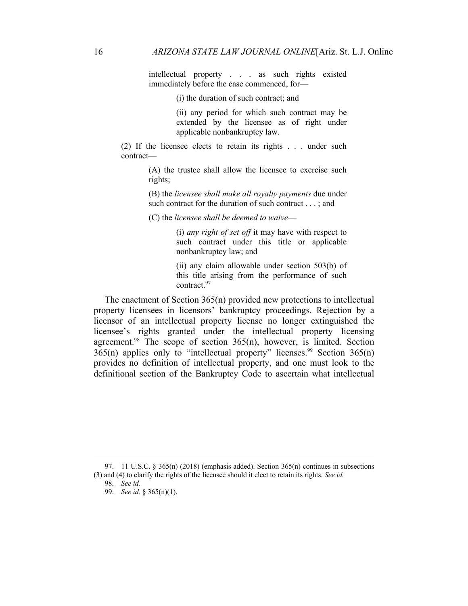intellectual property . . . as such rights existed immediately before the case commenced, for—

(i) the duration of such contract; and

(ii) any period for which such contract may be extended by the licensee as of right under applicable nonbankruptcy law.

(2) If the licensee elects to retain its rights . . . under such contract—

> (A) the trustee shall allow the licensee to exercise such rights;

> (B) the *licensee shall make all royalty payments* due under such contract for the duration of such contract . . . ; and

(C) the *licensee shall be deemed to waive*—

(i) *any right of set off* it may have with respect to such contract under this title or applicable nonbankruptcy law; and

(ii) any claim allowable under section 503(b) of this title arising from the performance of such contract.97

The enactment of Section 365(n) provided new protections to intellectual property licensees in licensors' bankruptcy proceedings. Rejection by a licensor of an intellectual property license no longer extinguished the licensee's rights granted under the intellectual property licensing agreement.<sup>98</sup> The scope of section  $365(n)$ , however, is limited. Section  $365(n)$  applies only to "intellectual property" licenses.<sup>99</sup> Section  $365(n)$ provides no definition of intellectual property, and one must look to the definitional section of the Bankruptcy Code to ascertain what intellectual

<sup>97. 11</sup> U.S.C.  $\frac{2565(n)}{2018}$  (emphasis added). Section 365(n) continues in subsections (3) and (4) to clarify the rights of the licensee should it elect to retain its rights. *See id.*

<sup>98.</sup> *See id.*

<sup>99.</sup> *See id.* § 365(n)(1).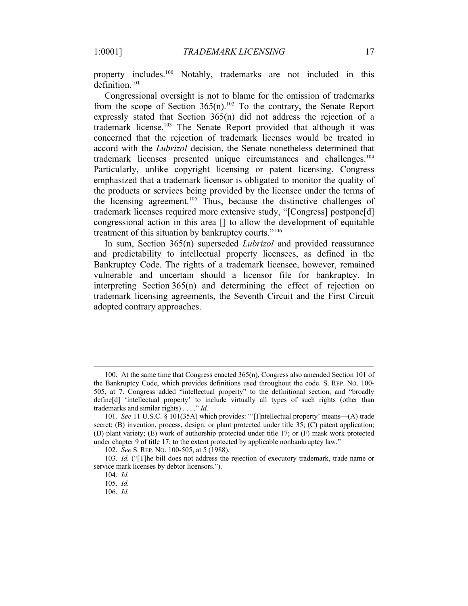property includes.<sup>100</sup> Notably, trademarks are not included in this definition.<sup>101</sup>

Congressional oversight is not to blame for the omission of trademarks from the scope of Section  $365(n)$ .<sup>102</sup> To the contrary, the Senate Report expressly stated that Section 365(n) did not address the rejection of a trademark license.103 The Senate Report provided that although it was concerned that the rejection of trademark licenses would be treated in accord with the *Lubrizol* decision, the Senate nonetheless determined that trademark licenses presented unique circumstances and challenges.104 Particularly, unlike copyright licensing or patent licensing, Congress emphasized that a trademark licensor is obligated to monitor the quality of the products or services being provided by the licensee under the terms of the licensing agreement.<sup>105</sup> Thus, because the distinctive challenges of trademark licenses required more extensive study, "[Congress] postpone[d] congressional action in this area [] to allow the development of equitable treatment of this situation by bankruptcy courts."<sup>106</sup>

In sum, Section 365(n) superseded *Lubrizol* and provided reassurance and predictability to intellectual property licensees, as defined in the Bankruptcy Code. The rights of a trademark licensee, however, remained vulnerable and uncertain should a licensor file for bankruptcy. In interpreting Section 365(n) and determining the effect of rejection on trademark licensing agreements, the Seventh Circuit and the First Circuit adopted contrary approaches.

106. *Id.*

<sup>100.</sup> At the same time that Congress enacted 365(n), Congress also amended Section 101 of the Bankruptcy Code, which provides definitions used throughout the code. S. REP. NO. 100- 505, at 7. Congress added "intellectual property" to the definitional section, and "broadly define[d] 'intellectual property' to include virtually all types of such rights (other than trademarks and similar rights) . . . ." *Id.*

<sup>101.</sup> *See* 11 U.S.C. § 101(35A) which provides: "'[I]ntellectual property' means—(A) trade secret; (B) invention, process, design, or plant protected under title 35; (C) patent application; (D) plant variety; (E) work of authorship protected under title 17; or (F) mask work protected under chapter 9 of title 17; to the extent protected by applicable nonbankruptcy law."

<sup>102.</sup> *See* S. REP. NO. 100-505, at 5 (1988).

<sup>103.</sup> *Id.* ("[T]he bill does not address the rejection of executory trademark, trade name or service mark licenses by debtor licensors.").

<sup>104.</sup> *Id.*

<sup>105.</sup> *Id.*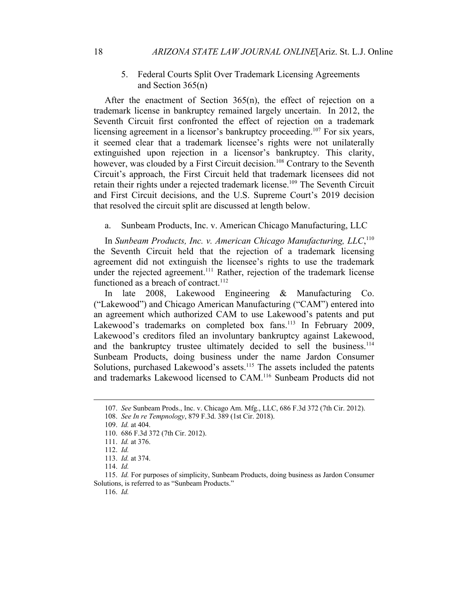5. Federal Courts Split Over Trademark Licensing Agreements and Section 365(n)

After the enactment of Section 365(n), the effect of rejection on a trademark license in bankruptcy remained largely uncertain. In 2012, the Seventh Circuit first confronted the effect of rejection on a trademark licensing agreement in a licensor's bankruptcy proceeding.<sup>107</sup> For six years, it seemed clear that a trademark licensee's rights were not unilaterally extinguished upon rejection in a licensor's bankruptcy. This clarity, however, was clouded by a First Circuit decision.<sup>108</sup> Contrary to the Seventh Circuit's approach, the First Circuit held that trademark licensees did not retain their rights under a rejected trademark license.109 The Seventh Circuit and First Circuit decisions, and the U.S. Supreme Court's 2019 decision that resolved the circuit split are discussed at length below.

a. Sunbeam Products, Inc. v. American Chicago Manufacturing, LLC

In *Sunbeam Products, Inc. v. American Chicago Manufacturing, LLC*, 110 the Seventh Circuit held that the rejection of a trademark licensing agreement did not extinguish the licensee's rights to use the trademark under the rejected agreement.<sup>111</sup> Rather, rejection of the trademark license functioned as a breach of contract.<sup>112</sup>

In late 2008, Lakewood Engineering & Manufacturing Co. ("Lakewood") and Chicago American Manufacturing ("CAM") entered into an agreement which authorized CAM to use Lakewood's patents and put Lakewood's trademarks on completed box fans.<sup>113</sup> In February 2009, Lakewood's creditors filed an involuntary bankruptcy against Lakewood, and the bankruptcy trustee ultimately decided to sell the business.<sup>114</sup> Sunbeam Products, doing business under the name Jardon Consumer Solutions, purchased Lakewood's assets.<sup>115</sup> The assets included the patents and trademarks Lakewood licensed to CAM.116 Sunbeam Products did not

116. *Id.*

<sup>107.</sup> *See* Sunbeam Prods., Inc. v. Chicago Am. Mfg., LLC, 686 F.3d 372 (7th Cir. 2012).

<sup>108.</sup> *See In re Tempnology*, 879 F.3d. 389 (1st Cir. 2018).

<sup>109.</sup> *Id.* at 404.

<sup>110.</sup> 686 F.3d 372 (7th Cir. 2012).

<sup>111.</sup> *Id.* at 376.

<sup>112.</sup> *Id.*

<sup>113.</sup> *Id.* at 374.

<sup>114.</sup> *Id.*

<sup>115.</sup> *Id.* For purposes of simplicity, Sunbeam Products, doing business as Jardon Consumer Solutions, is referred to as "Sunbeam Products."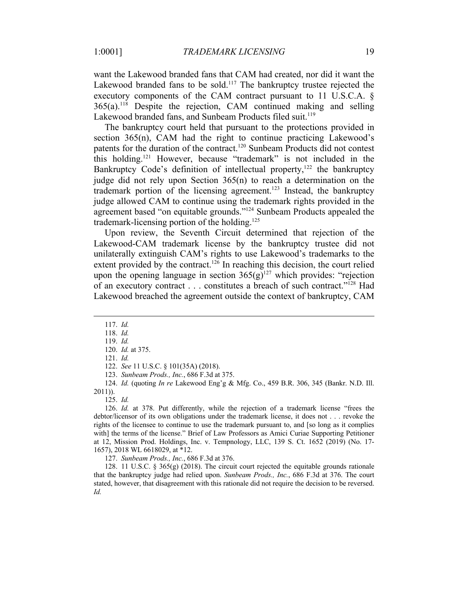want the Lakewood branded fans that CAM had created, nor did it want the Lakewood branded fans to be sold.<sup>117</sup> The bankruptcy trustee rejected the executory components of the CAM contract pursuant to 11 U.S.C.A. §  $365(a)$ <sup>118</sup> Despite the rejection, CAM continued making and selling Lakewood branded fans, and Sunbeam Products filed suit.<sup>119</sup>

The bankruptcy court held that pursuant to the protections provided in section 365(n), CAM had the right to continue practicing Lakewood's patents for the duration of the contract.<sup>120</sup> Sunbeam Products did not contest this holding.121 However, because "trademark" is not included in the Bankruptcy Code's definition of intellectual property, $122$  the bankruptcy judge did not rely upon Section 365(n) to reach a determination on the trademark portion of the licensing agreement.<sup>123</sup> Instead, the bankruptcy judge allowed CAM to continue using the trademark rights provided in the agreement based "on equitable grounds."<sup>124</sup> Sunbeam Products appealed the trademark-licensing portion of the holding.<sup>125</sup>

Upon review, the Seventh Circuit determined that rejection of the Lakewood-CAM trademark license by the bankruptcy trustee did not unilaterally extinguish CAM's rights to use Lakewood's trademarks to the extent provided by the contract.<sup>126</sup> In reaching this decision, the court relied upon the opening language in section  $365(g)^{127}$  which provides: "rejection of an executory contract . . . constitutes a breach of such contract."128 Had Lakewood breached the agreement outside the context of bankruptcy, CAM

125. *Id.*

126. *Id.* at 378. Put differently, while the rejection of a trademark license "frees the debtor/licensor of its own obligations under the trademark license, it does not . . . revoke the rights of the licensee to continue to use the trademark pursuant to, and [so long as it complies with] the terms of the license." Brief of Law Professors as Amici Curiae Supporting Petitioner at 12, Mission Prod. Holdings, Inc. v. Tempnology, LLC, 139 S. Ct. 1652 (2019) (No. 17- 1657), 2018 WL 6618029, at \*12.

127. *Sunbeam Prods., Inc.*, 686 F.3d at 376.

128. 11 U.S.C.  $\S$  365(g) (2018). The circuit court rejected the equitable grounds rationale that the bankruptcy judge had relied upon. *Sunbeam Prods., Inc.*, 686 F.3d at 376. The court stated, however, that disagreement with this rationale did not require the decision to be reversed. *Id.*

<sup>117.</sup> *Id.*

<sup>118.</sup> *Id.*

<sup>119.</sup> *Id.* 120. *Id.* at 375.

<sup>121.</sup> *Id.*

<sup>122.</sup> *See* 11 U.S.C. § 101(35A) (2018). 123. *Sunbeam Prods., Inc.*, 686 F.3d at 375.

<sup>124.</sup> *Id.* (quoting *In re* Lakewood Eng'g & Mfg. Co., 459 B.R. 306, 345 (Bankr. N.D. Ill. 2011)).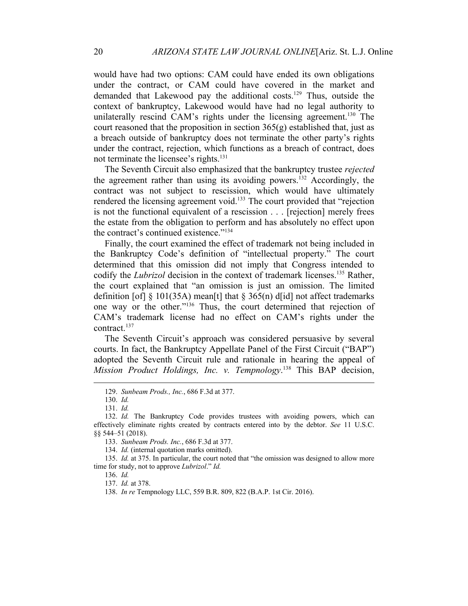would have had two options: CAM could have ended its own obligations under the contract, or CAM could have covered in the market and demanded that Lakewood pay the additional costs.<sup>129</sup> Thus, outside the context of bankruptcy, Lakewood would have had no legal authority to unilaterally rescind CAM's rights under the licensing agreement.<sup>130</sup> The court reasoned that the proposition in section  $365(g)$  established that, just as a breach outside of bankruptcy does not terminate the other party's rights under the contract, rejection, which functions as a breach of contract, does not terminate the licensee's rights.<sup>131</sup>

The Seventh Circuit also emphasized that the bankruptcy trustee *rejected* the agreement rather than using its avoiding powers.<sup>132</sup> Accordingly, the contract was not subject to rescission, which would have ultimately rendered the licensing agreement void.<sup>133</sup> The court provided that "rejection is not the functional equivalent of a rescission . . . [rejection] merely frees the estate from the obligation to perform and has absolutely no effect upon the contract's continued existence."134

Finally, the court examined the effect of trademark not being included in the Bankruptcy Code's definition of "intellectual property." The court determined that this omission did not imply that Congress intended to codify the *Lubrizol* decision in the context of trademark licenses.<sup>135</sup> Rather, the court explained that "an omission is just an omission. The limited definition [of]  $\S$  101(35A) mean<sup>[t]</sup> that  $\S$  365(n) d[id] not affect trademarks one way or the other."136 Thus, the court determined that rejection of CAM's trademark license had no effect on CAM's rights under the contract.<sup>137</sup>

The Seventh Circuit's approach was considered persuasive by several courts. In fact, the Bankruptcy Appellate Panel of the First Circuit ("BAP") adopted the Seventh Circuit rule and rationale in hearing the appeal of *Mission Product Holdings, Inc. v. Tempnology*. <sup>138</sup> This BAP decision,

131. *Id.*

<sup>129.</sup> *Sunbeam Prods., Inc.*, 686 F.3d at 377.

<sup>130.</sup> *Id.*

<sup>132.</sup> *Id.* The Bankruptcy Code provides trustees with avoiding powers, which can effectively eliminate rights created by contracts entered into by the debtor. *See* 11 U.S.C. §§ 544–51 (2018).

<sup>133.</sup> *Sunbeam Prods. Inc.*, 686 F.3d at 377.

<sup>134.</sup> *Id.* (internal quotation marks omitted).

<sup>135.</sup> *Id.* at 375. In particular, the court noted that "the omission was designed to allow more time for study, not to approve *Lubrizol*." *Id.*

<sup>136.</sup> *Id.*

<sup>137.</sup> *Id.* at 378.

<sup>138.</sup> *In re* Tempnology LLC, 559 B.R. 809, 822 (B.A.P. 1st Cir. 2016).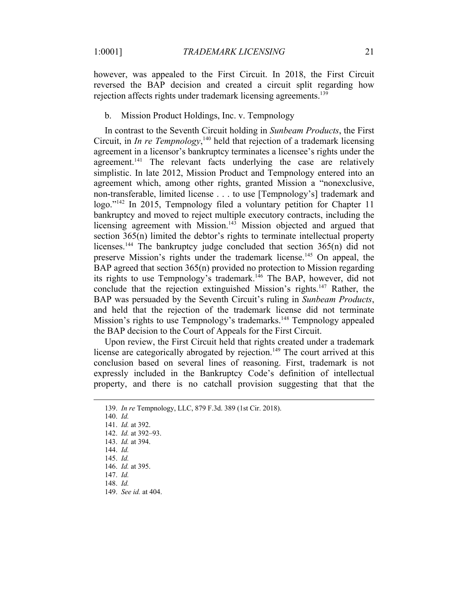however, was appealed to the First Circuit. In 2018, the First Circuit reversed the BAP decision and created a circuit split regarding how rejection affects rights under trademark licensing agreements.<sup>139</sup>

# b. Mission Product Holdings, Inc. v. Tempnology

In contrast to the Seventh Circuit holding in *Sunbeam Products*, the First Circuit, in *In re Tempnology*, <sup>140</sup> held that rejection of a trademark licensing agreement in a licensor's bankruptcy terminates a licensee's rights under the agreement.<sup>141</sup> The relevant facts underlying the case are relatively simplistic. In late 2012, Mission Product and Tempnology entered into an agreement which, among other rights, granted Mission a "nonexclusive, non-transferable, limited license . . . to use [Tempnology's] trademark and logo."<sup>142</sup> In 2015, Tempnology filed a voluntary petition for Chapter 11 bankruptcy and moved to reject multiple executory contracts, including the licensing agreement with Mission.<sup>143</sup> Mission objected and argued that section 365(n) limited the debtor's rights to terminate intellectual property licenses.<sup>144</sup> The bankruptcy judge concluded that section 365(n) did not preserve Mission's rights under the trademark license.145 On appeal, the BAP agreed that section 365(n) provided no protection to Mission regarding its rights to use Tempnology's trademark.<sup>146</sup> The BAP, however, did not conclude that the rejection extinguished Mission's rights.<sup>147</sup> Rather, the BAP was persuaded by the Seventh Circuit's ruling in *Sunbeam Products*, and held that the rejection of the trademark license did not terminate Mission's rights to use Tempnology's trademarks.<sup>148</sup> Tempnology appealed the BAP decision to the Court of Appeals for the First Circuit.

Upon review, the First Circuit held that rights created under a trademark license are categorically abrogated by rejection.<sup>149</sup> The court arrived at this conclusion based on several lines of reasoning. First, trademark is not expressly included in the Bankruptcy Code's definition of intellectual property, and there is no catchall provision suggesting that that the

<sup>139.</sup> *In re* Tempnology, LLC, 879 F.3d. 389 (1st Cir. 2018).

<sup>140.</sup> *Id.*

<sup>141.</sup> *Id.* at 392. 142. *Id.* at 392–93.

<sup>143.</sup> *Id.* at 394.

<sup>144.</sup> *Id.*

<sup>145.</sup> *Id.*

<sup>146.</sup> *Id.* at 395.

<sup>147.</sup> *Id.*

<sup>148.</sup> *Id.*

<sup>149.</sup> *See id.* at 404.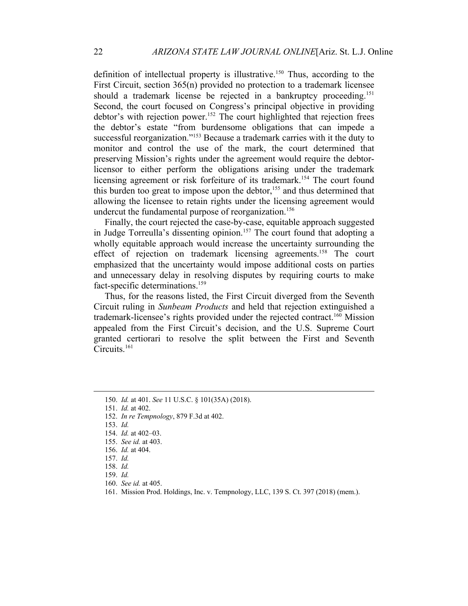definition of intellectual property is illustrative.<sup>150</sup> Thus, according to the First Circuit, section 365(n) provided no protection to a trademark licensee should a trademark license be rejected in a bankruptcy proceeding.<sup>151</sup> Second, the court focused on Congress's principal objective in providing debtor's with rejection power.<sup>152</sup> The court highlighted that rejection frees the debtor's estate "from burdensome obligations that can impede a successful reorganization."153 Because a trademark carries with it the duty to monitor and control the use of the mark, the court determined that preserving Mission's rights under the agreement would require the debtorlicensor to either perform the obligations arising under the trademark licensing agreement or risk forfeiture of its trademark.<sup>154</sup> The court found this burden too great to impose upon the debtor,<sup>155</sup> and thus determined that allowing the licensee to retain rights under the licensing agreement would undercut the fundamental purpose of reorganization.<sup>156</sup>

Finally, the court rejected the case-by-case, equitable approach suggested in Judge Torreulla's dissenting opinion.<sup>157</sup> The court found that adopting a wholly equitable approach would increase the uncertainty surrounding the effect of rejection on trademark licensing agreements.<sup>158</sup> The court emphasized that the uncertainty would impose additional costs on parties and unnecessary delay in resolving disputes by requiring courts to make fact-specific determinations.<sup>159</sup>

Thus, for the reasons listed, the First Circuit diverged from the Seventh Circuit ruling in *Sunbeam Products* and held that rejection extinguished a trademark-licensee's rights provided under the rejected contract.<sup>160</sup> Mission appealed from the First Circuit's decision, and the U.S. Supreme Court granted certiorari to resolve the split between the First and Seventh Circuits.<sup>161</sup>

151. *Id.* at 402.

<sup>150.</sup> *Id.* at 401. *See* 11 U.S.C. § 101(35A) (2018).

<sup>152.</sup> *In re Tempnology*, 879 F.3d at 402.

<sup>153.</sup> *Id.*

<sup>154.</sup> *Id.* at 402–03.

<sup>155.</sup> *See id.* at 403. 156. *Id.* at 404.

<sup>157.</sup> *Id.*

<sup>158.</sup> *Id.*

<sup>159.</sup> *Id.*

<sup>160.</sup> *See id.* at 405.

<sup>161.</sup> Mission Prod. Holdings, Inc. v. Tempnology, LLC, 139 S. Ct. 397 (2018) (mem.).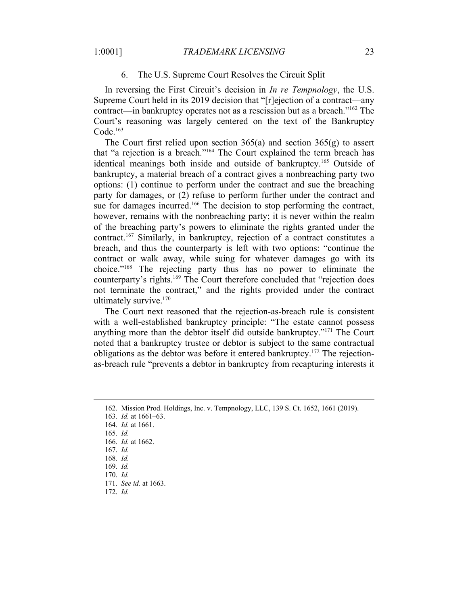## 6. The U.S. Supreme Court Resolves the Circuit Split

In reversing the First Circuit's decision in *In re Tempnology*, the U.S. Supreme Court held in its 2019 decision that "[r]ejection of a contract—any contract—in bankruptcy operates not as a rescission but as a breach."162 The Court's reasoning was largely centered on the text of the Bankruptcy  $Code<sup>163</sup>$ 

The Court first relied upon section  $365(a)$  and section  $365(g)$  to assert that "a rejection is a breach."164 The Court explained the term breach has identical meanings both inside and outside of bankruptcy.165 Outside of bankruptcy, a material breach of a contract gives a nonbreaching party two options: (1) continue to perform under the contract and sue the breaching party for damages, or (2) refuse to perform further under the contract and sue for damages incurred.<sup>166</sup> The decision to stop performing the contract, however, remains with the nonbreaching party; it is never within the realm of the breaching party's powers to eliminate the rights granted under the contract.167 Similarly, in bankruptcy, rejection of a contract constitutes a breach, and thus the counterparty is left with two options: "continue the contract or walk away, while suing for whatever damages go with its choice."168 The rejecting party thus has no power to eliminate the counterparty's rights.<sup>169</sup> The Court therefore concluded that "rejection does not terminate the contract," and the rights provided under the contract ultimately survive.<sup>170</sup>

The Court next reasoned that the rejection-as-breach rule is consistent with a well-established bankruptcy principle: "The estate cannot possess anything more than the debtor itself did outside bankruptcy."171 The Court noted that a bankruptcy trustee or debtor is subject to the same contractual obligations as the debtor was before it entered bankruptcy.172 The rejectionas-breach rule "prevents a debtor in bankruptcy from recapturing interests it

<sup>162.</sup> Mission Prod. Holdings, Inc. v. Tempnology, LLC, 139 S. Ct. 1652, 1661 (2019).

<sup>163.</sup> *Id.* at 1661–63.

<sup>164.</sup> *Id.* at 1661.

<sup>165.</sup> *Id.*

<sup>166.</sup> *Id.* at 1662.

<sup>167.</sup> *Id.*

<sup>168.</sup> *Id.* 169. *Id.*

<sup>170.</sup> *Id.*

<sup>171.</sup> *See id.* at 1663.

<sup>172.</sup> *Id.*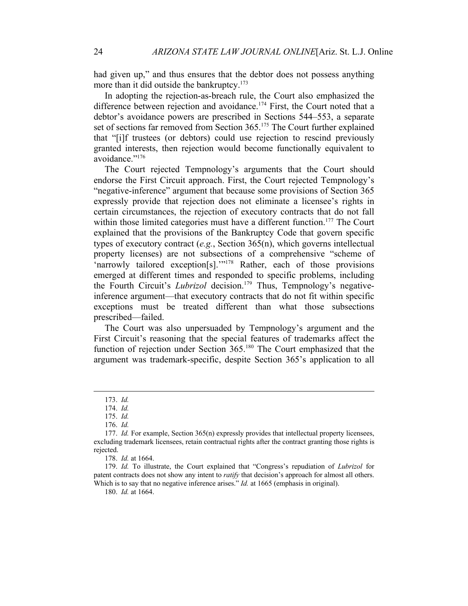had given up," and thus ensures that the debtor does not possess anything more than it did outside the bankruptcy.<sup>173</sup>

In adopting the rejection-as-breach rule, the Court also emphasized the difference between rejection and avoidance.<sup>174</sup> First, the Court noted that a debtor's avoidance powers are prescribed in Sections 544–553, a separate set of sections far removed from Section 365.<sup>175</sup> The Court further explained that "[i]f trustees (or debtors) could use rejection to rescind previously granted interests, then rejection would become functionally equivalent to avoidance."176

The Court rejected Tempnology's arguments that the Court should endorse the First Circuit approach. First, the Court rejected Tempnology's "negative-inference" argument that because some provisions of Section 365 expressly provide that rejection does not eliminate a licensee's rights in certain circumstances, the rejection of executory contracts that do not fall within those limited categories must have a different function.<sup>177</sup> The Court explained that the provisions of the Bankruptcy Code that govern specific types of executory contract (*e.g.*, Section 365(n), which governs intellectual property licenses) are not subsections of a comprehensive "scheme of 'narrowly tailored exception[s]."<sup>178</sup> Rather, each of those provisions emerged at different times and responded to specific problems, including the Fourth Circuit's *Lubrizol* decision.<sup>179</sup> Thus, Tempnology's negativeinference argument—that executory contracts that do not fit within specific exceptions must be treated different than what those subsections prescribed—failed.

The Court was also unpersuaded by Tempnology's argument and the First Circuit's reasoning that the special features of trademarks affect the function of rejection under Section 365.180 The Court emphasized that the argument was trademark-specific, despite Section 365's application to all

<sup>173.</sup> *Id.*

<sup>174.</sup> *Id.*

<sup>175.</sup> *Id.*

<sup>176.</sup> *Id.*

<sup>177.</sup> *Id.* For example, Section 365(n) expressly provides that intellectual property licensees, excluding trademark licensees, retain contractual rights after the contract granting those rights is rejected.

<sup>178.</sup> *Id.* at 1664.

<sup>179.</sup> *Id.* To illustrate, the Court explained that "Congress's repudiation of *Lubrizol* for patent contracts does not show any intent to *ratify* that decision's approach for almost all others. Which is to say that no negative inference arises." *Id.* at 1665 (emphasis in original).

<sup>180.</sup> *Id.* at 1664.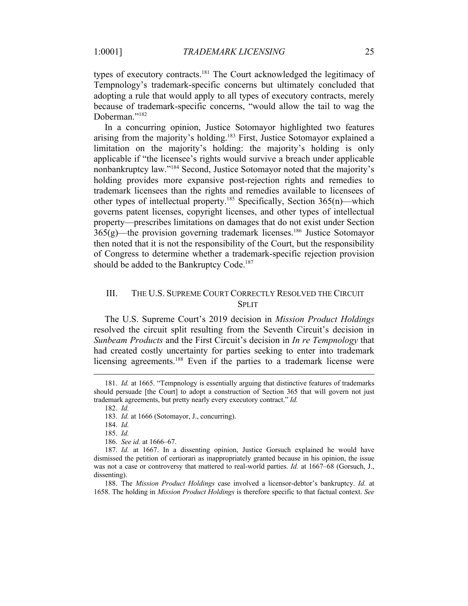types of executory contracts.<sup>181</sup> The Court acknowledged the legitimacy of Tempnology's trademark-specific concerns but ultimately concluded that adopting a rule that would apply to all types of executory contracts, merely because of trademark-specific concerns, "would allow the tail to wag the Doberman."<sup>182</sup>

In a concurring opinion, Justice Sotomayor highlighted two features arising from the majority's holding.<sup>183</sup> First, Justice Sotomayor explained a limitation on the majority's holding: the majority's holding is only applicable if "the licensee's rights would survive a breach under applicable nonbankruptcy law."184 Second, Justice Sotomayor noted that the majority's holding provides more expansive post-rejection rights and remedies to trademark licensees than the rights and remedies available to licensees of other types of intellectual property.<sup>185</sup> Specifically, Section  $365(n)$ —which governs patent licenses, copyright licenses, and other types of intellectual property—prescribes limitations on damages that do not exist under Section  $365(g)$ —the provision governing trademark licenses.<sup>186</sup> Justice Sotomayor then noted that it is not the responsibility of the Court, but the responsibility of Congress to determine whether a trademark-specific rejection provision should be added to the Bankruptcy Code.<sup>187</sup>

# III. THE U.S. SUPREME COURT CORRECTLY RESOLVED THE CIRCUIT SPLIT

The U.S. Supreme Court's 2019 decision in *Mission Product Holdings* resolved the circuit split resulting from the Seventh Circuit's decision in *Sunbeam Products* and the First Circuit's decision in *In re Tempnology* that had created costly uncertainty for parties seeking to enter into trademark licensing agreements.<sup>188</sup> Even if the parties to a trademark license were

<sup>181.</sup> *Id.* at 1665. "Tempnology is essentially arguing that distinctive features of trademarks should persuade [the Court] to adopt a construction of Section 365 that will govern not just trademark agreements, but pretty nearly every executory contract." *Id.*

<sup>182.</sup> *Id.*

<sup>183.</sup> *Id.* at 1666 (Sotomayor, J., concurring).

<sup>184.</sup> *Id.* 185. *Id.*

<sup>186.</sup> *See id.* at 1666–67.

<sup>187.</sup> *Id.* at 1667. In a dissenting opinion, Justice Gorsuch explained he would have dismissed the petition of certiorari as inappropriately granted because in his opinion, the issue was not a case or controversy that mattered to real-world parties. *Id.* at 1667–68 (Gorsuch, J., dissenting).

<sup>188.</sup> The *Mission Product Holdings* case involved a licensor-debtor's bankruptcy. *Id.* at 1658. The holding in *Mission Product Holdings* is therefore specific to that factual context. *See*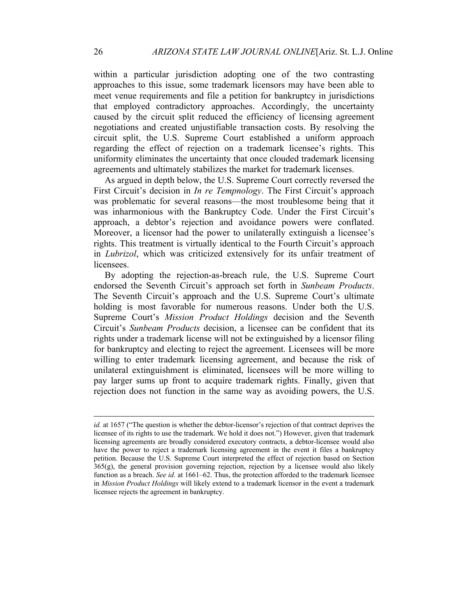within a particular jurisdiction adopting one of the two contrasting approaches to this issue, some trademark licensors may have been able to meet venue requirements and file a petition for bankruptcy in jurisdictions that employed contradictory approaches. Accordingly, the uncertainty caused by the circuit split reduced the efficiency of licensing agreement negotiations and created unjustifiable transaction costs. By resolving the circuit split, the U.S. Supreme Court established a uniform approach regarding the effect of rejection on a trademark licensee's rights. This uniformity eliminates the uncertainty that once clouded trademark licensing agreements and ultimately stabilizes the market for trademark licenses.

As argued in depth below, the U.S. Supreme Court correctly reversed the First Circuit's decision in *In re Tempnology*. The First Circuit's approach was problematic for several reasons—the most troublesome being that it was inharmonious with the Bankruptcy Code. Under the First Circuit's approach, a debtor's rejection and avoidance powers were conflated. Moreover, a licensor had the power to unilaterally extinguish a licensee's rights. This treatment is virtually identical to the Fourth Circuit's approach in *Lubrizol*, which was criticized extensively for its unfair treatment of licensees.

By adopting the rejection-as-breach rule, the U.S. Supreme Court endorsed the Seventh Circuit's approach set forth in *Sunbeam Products*. The Seventh Circuit's approach and the U.S. Supreme Court's ultimate holding is most favorable for numerous reasons. Under both the U.S. Supreme Court's *Mission Product Holdings* decision and the Seventh Circuit's *Sunbeam Products* decision, a licensee can be confident that its rights under a trademark license will not be extinguished by a licensor filing for bankruptcy and electing to reject the agreement. Licensees will be more willing to enter trademark licensing agreement, and because the risk of unilateral extinguishment is eliminated, licensees will be more willing to pay larger sums up front to acquire trademark rights. Finally, given that rejection does not function in the same way as avoiding powers, the U.S.

*id.* at 1657 ("The question is whether the debtor-licensor's rejection of that contract deprives the licensee of its rights to use the trademark. We hold it does not.") However, given that trademark licensing agreements are broadly considered executory contracts, a debtor-licensee would also have the power to reject a trademark licensing agreement in the event it files a bankruptcy petition. Because the U.S. Supreme Court interpreted the effect of rejection based on Section 365(g), the general provision governing rejection, rejection by a licensee would also likely function as a breach. *See id.* at 1661–62. Thus, the protection afforded to the trademark licensee in *Mission Product Holdings* will likely extend to a trademark licensor in the event a trademark licensee rejects the agreement in bankruptcy.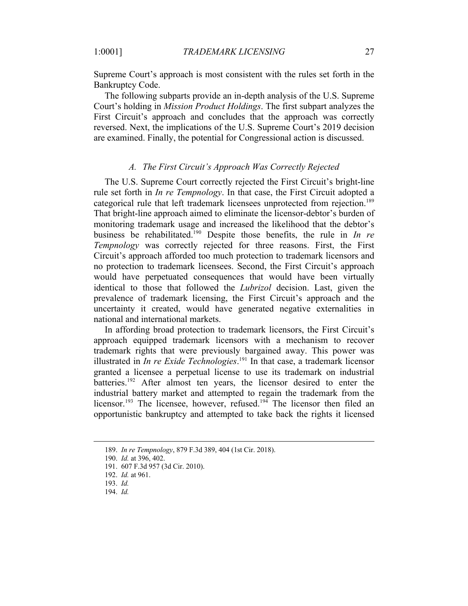Supreme Court's approach is most consistent with the rules set forth in the Bankruptcy Code.

The following subparts provide an in-depth analysis of the U.S. Supreme Court's holding in *Mission Product Holdings*. The first subpart analyzes the First Circuit's approach and concludes that the approach was correctly reversed. Next, the implications of the U.S. Supreme Court's 2019 decision are examined. Finally, the potential for Congressional action is discussed.

# *A. The First Circuit's Approach Was Correctly Rejected*

The U.S. Supreme Court correctly rejected the First Circuit's bright-line rule set forth in *In re Tempnology*. In that case, the First Circuit adopted a categorical rule that left trademark licensees unprotected from rejection.189 That bright-line approach aimed to eliminate the licensor-debtor's burden of monitoring trademark usage and increased the likelihood that the debtor's business be rehabilitated.190 Despite those benefits, the rule in *In re Tempnology* was correctly rejected for three reasons. First, the First Circuit's approach afforded too much protection to trademark licensors and no protection to trademark licensees. Second, the First Circuit's approach would have perpetuated consequences that would have been virtually identical to those that followed the *Lubrizol* decision. Last, given the prevalence of trademark licensing, the First Circuit's approach and the uncertainty it created, would have generated negative externalities in national and international markets.

In affording broad protection to trademark licensors, the First Circuit's approach equipped trademark licensors with a mechanism to recover trademark rights that were previously bargained away. This power was illustrated in *In re Exide Technologies*. <sup>191</sup> In that case, a trademark licensor granted a licensee a perpetual license to use its trademark on industrial batteries.<sup>192</sup> After almost ten years, the licensor desired to enter the industrial battery market and attempted to regain the trademark from the licensor.<sup>193</sup> The licensee, however, refused.<sup>194</sup> The licensor then filed an opportunistic bankruptcy and attempted to take back the rights it licensed

<sup>189.</sup> *In re Tempnology*, 879 F.3d 389, 404 (1st Cir. 2018).

<sup>190.</sup> *Id.* at 396, 402.

<sup>191.</sup> 607 F.3d 957 (3d Cir. 2010).

<sup>192.</sup> *Id.* at 961.

<sup>193.</sup> *Id.*

<sup>194.</sup> *Id.*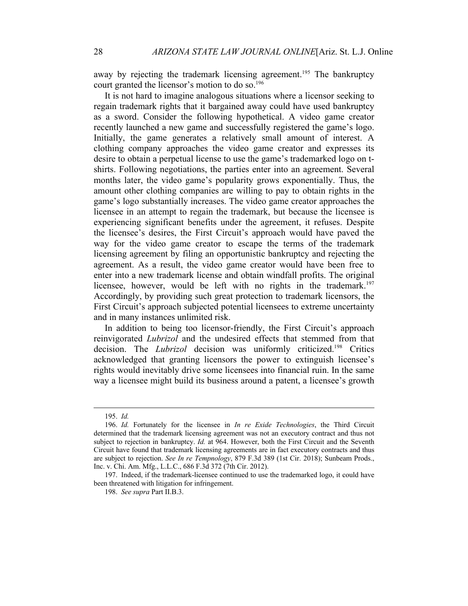away by rejecting the trademark licensing agreement.<sup>195</sup> The bankruptcy court granted the licensor's motion to do so.<sup>196</sup>

It is not hard to imagine analogous situations where a licensor seeking to regain trademark rights that it bargained away could have used bankruptcy as a sword. Consider the following hypothetical. A video game creator recently launched a new game and successfully registered the game's logo. Initially, the game generates a relatively small amount of interest. A clothing company approaches the video game creator and expresses its desire to obtain a perpetual license to use the game's trademarked logo on tshirts. Following negotiations, the parties enter into an agreement. Several months later, the video game's popularity grows exponentially. Thus, the amount other clothing companies are willing to pay to obtain rights in the game's logo substantially increases. The video game creator approaches the licensee in an attempt to regain the trademark, but because the licensee is experiencing significant benefits under the agreement, it refuses. Despite the licensee's desires, the First Circuit's approach would have paved the way for the video game creator to escape the terms of the trademark licensing agreement by filing an opportunistic bankruptcy and rejecting the agreement. As a result, the video game creator would have been free to enter into a new trademark license and obtain windfall profits. The original licensee, however, would be left with no rights in the trademark.<sup>197</sup> Accordingly, by providing such great protection to trademark licensors, the First Circuit's approach subjected potential licensees to extreme uncertainty and in many instances unlimited risk.

In addition to being too licensor-friendly, the First Circuit's approach reinvigorated *Lubrizol* and the undesired effects that stemmed from that decision. The *Lubrizol* decision was uniformly criticized.198 Critics acknowledged that granting licensors the power to extinguish licensee's rights would inevitably drive some licensees into financial ruin. In the same way a licensee might build its business around a patent, a licensee's growth

<sup>195.</sup> *Id.*

<sup>196.</sup> *Id.* Fortunately for the licensee in *In re Exide Technologies*, the Third Circuit determined that the trademark licensing agreement was not an executory contract and thus not subject to rejection in bankruptcy. *Id.* at 964. However, both the First Circuit and the Seventh Circuit have found that trademark licensing agreements are in fact executory contracts and thus are subject to rejection. *See In re Tempnology*, 879 F.3d 389 (1st Cir. 2018); Sunbeam Prods., Inc. v. Chi. Am. Mfg., L.L.C., 686 F.3d 372 (7th Cir. 2012).

<sup>197.</sup> Indeed, if the trademark-licensee continued to use the trademarked logo, it could have been threatened with litigation for infringement.

<sup>198.</sup> *See supra* Part II.B.3.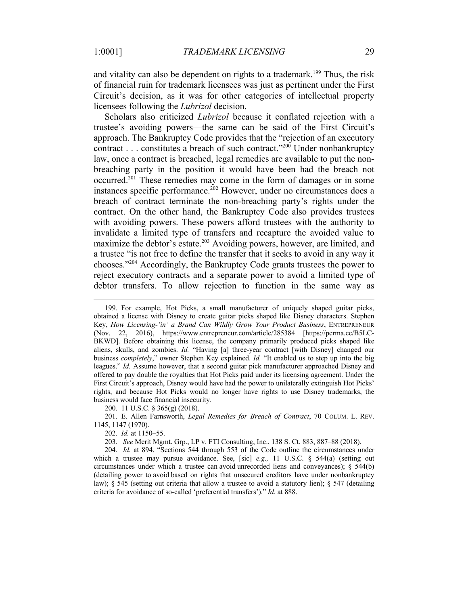and vitality can also be dependent on rights to a trademark.<sup>199</sup> Thus, the risk of financial ruin for trademark licensees was just as pertinent under the First Circuit's decision, as it was for other categories of intellectual property licensees following the *Lubrizol* decision.

Scholars also criticized *Lubrizol* because it conflated rejection with a trustee's avoiding powers—the same can be said of the First Circuit's approach. The Bankruptcy Code provides that the "rejection of an executory contract . . . constitutes a breach of such contract."200 Under nonbankruptcy law, once a contract is breached, legal remedies are available to put the nonbreaching party in the position it would have been had the breach not occurred.201 These remedies may come in the form of damages or in some instances specific performance.<sup>202</sup> However, under no circumstances does a breach of contract terminate the non-breaching party's rights under the contract. On the other hand, the Bankruptcy Code also provides trustees with avoiding powers. These powers afford trustees with the authority to invalidate a limited type of transfers and recapture the avoided value to maximize the debtor's estate.<sup>203</sup> Avoiding powers, however, are limited, and a trustee "is not free to define the transfer that it seeks to avoid in any way it chooses."204 Accordingly, the Bankruptcy Code grants trustees the power to reject executory contracts and a separate power to avoid a limited type of debtor transfers. To allow rejection to function in the same way as

200. 11 U.S.C. § 365(g) (2018).

201. E. Allen Farnsworth, *Legal Remedies for Breach of Contract*, 70 COLUM. L. REV. 1145, 1147 (1970).

202. *Id.* at 1150–55.

203. *See* Merit Mgmt. Grp., LP v. FTI Consulting, Inc., 138 S. Ct. 883, 887–88 (2018).

204. *Id.* at 894. "Sections 544 through 553 of the Code outline the circumstances under which a trustee may pursue avoidance. See, [sic] *e.g.,* 11 U.S.C. § 544(a) (setting out circumstances under which a trustee can avoid unrecorded liens and conveyances); § 544(b) (detailing power to avoid based on rights that unsecured creditors have under nonbankruptcy law); § 545 (setting out criteria that allow a trustee to avoid a statutory lien); § 547 (detailing criteria for avoidance of so-called 'preferential transfers')." *Id.* at 888.

<sup>199.</sup> For example, Hot Picks, a small manufacturer of uniquely shaped guitar picks, obtained a license with Disney to create guitar picks shaped like Disney characters. Stephen Key, *How Licensing-'in' a Brand Can Wildly Grow Your Product Business*, ENTREPRENEUR (Nov. 22, 2016), https://www.entrepreneur.com/article/285384 [https://perma.cc/B5LC-BKWD]. Before obtaining this license, the company primarily produced picks shaped like aliens, skulls, and zombies. *Id.* "Having [a] three-year contract [with Disney] changed our business *completely*," owner Stephen Key explained. *Id.* "It enabled us to step up into the big leagues." *Id.* Assume however, that a second guitar pick manufacturer approached Disney and offered to pay double the royalties that Hot Picks paid under its licensing agreement. Under the First Circuit's approach, Disney would have had the power to unilaterally extinguish Hot Picks' rights, and because Hot Picks would no longer have rights to use Disney trademarks, the business would face financial insecurity.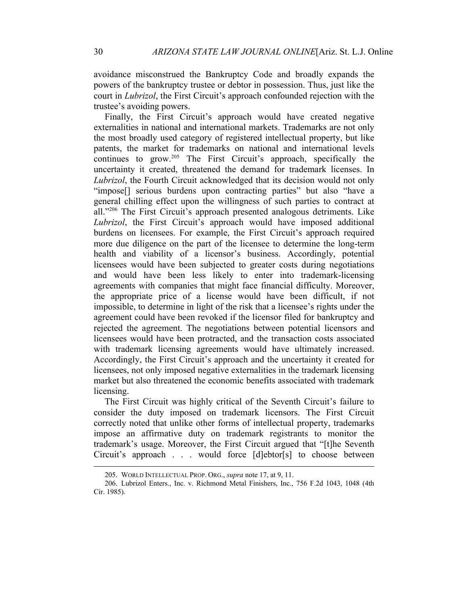avoidance misconstrued the Bankruptcy Code and broadly expands the powers of the bankruptcy trustee or debtor in possession. Thus, just like the court in *Lubrizol*, the First Circuit's approach confounded rejection with the trustee's avoiding powers.

Finally, the First Circuit's approach would have created negative externalities in national and international markets. Trademarks are not only the most broadly used category of registered intellectual property, but like patents, the market for trademarks on national and international levels continues to grow.<sup>205</sup> The First Circuit's approach, specifically the uncertainty it created, threatened the demand for trademark licenses. In *Lubrizol*, the Fourth Circuit acknowledged that its decision would not only "impose[] serious burdens upon contracting parties" but also "have a general chilling effect upon the willingness of such parties to contract at all."206 The First Circuit's approach presented analogous detriments. Like *Lubrizol*, the First Circuit's approach would have imposed additional burdens on licensees. For example, the First Circuit's approach required more due diligence on the part of the licensee to determine the long-term health and viability of a licensor's business. Accordingly, potential licensees would have been subjected to greater costs during negotiations and would have been less likely to enter into trademark-licensing agreements with companies that might face financial difficulty. Moreover, the appropriate price of a license would have been difficult, if not impossible, to determine in light of the risk that a licensee's rights under the agreement could have been revoked if the licensor filed for bankruptcy and rejected the agreement. The negotiations between potential licensors and licensees would have been protracted, and the transaction costs associated with trademark licensing agreements would have ultimately increased. Accordingly, the First Circuit's approach and the uncertainty it created for licensees, not only imposed negative externalities in the trademark licensing market but also threatened the economic benefits associated with trademark licensing.

The First Circuit was highly critical of the Seventh Circuit's failure to consider the duty imposed on trademark licensors. The First Circuit correctly noted that unlike other forms of intellectual property, trademarks impose an affirmative duty on trademark registrants to monitor the trademark's usage. Moreover, the First Circuit argued that "[t]he Seventh Circuit's approach . . . would force [d]ebtor[s] to choose between

<sup>205.</sup> WORLD INTELLECTUAL PROP. ORG., *supra* note 17, at 9, 11.

<sup>206.</sup> Lubrizol Enters., Inc. v. Richmond Metal Finishers, Inc., 756 F.2d 1043, 1048 (4th Cir. 1985).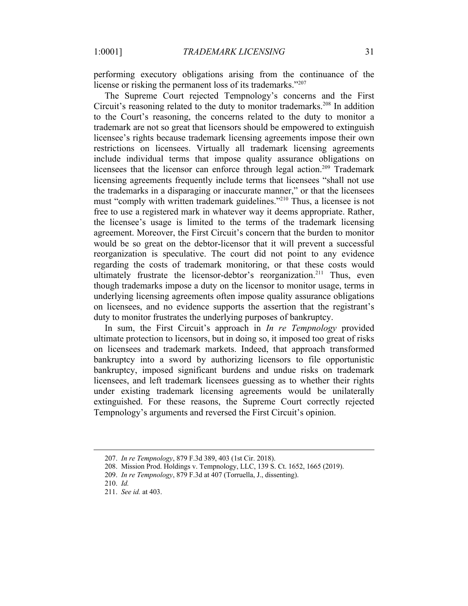performing executory obligations arising from the continuance of the license or risking the permanent loss of its trademarks."<sup>207</sup>

The Supreme Court rejected Tempnology's concerns and the First Circuit's reasoning related to the duty to monitor trademarks.<sup>208</sup> In addition to the Court's reasoning, the concerns related to the duty to monitor a trademark are not so great that licensors should be empowered to extinguish licensee's rights because trademark licensing agreements impose their own restrictions on licensees. Virtually all trademark licensing agreements include individual terms that impose quality assurance obligations on licensees that the licensor can enforce through legal action.<sup>209</sup> Trademark licensing agreements frequently include terms that licensees "shall not use the trademarks in a disparaging or inaccurate manner," or that the licensees must "comply with written trademark guidelines."210 Thus, a licensee is not free to use a registered mark in whatever way it deems appropriate. Rather, the licensee's usage is limited to the terms of the trademark licensing agreement. Moreover, the First Circuit's concern that the burden to monitor would be so great on the debtor-licensor that it will prevent a successful reorganization is speculative. The court did not point to any evidence regarding the costs of trademark monitoring, or that these costs would ultimately frustrate the licensor-debtor's reorganization.<sup>211</sup> Thus, even though trademarks impose a duty on the licensor to monitor usage, terms in underlying licensing agreements often impose quality assurance obligations on licensees, and no evidence supports the assertion that the registrant's duty to monitor frustrates the underlying purposes of bankruptcy.

In sum, the First Circuit's approach in *In re Tempnology* provided ultimate protection to licensors, but in doing so, it imposed too great of risks on licensees and trademark markets. Indeed, that approach transformed bankruptcy into a sword by authorizing licensors to file opportunistic bankruptcy, imposed significant burdens and undue risks on trademark licensees, and left trademark licensees guessing as to whether their rights under existing trademark licensing agreements would be unilaterally extinguished. For these reasons, the Supreme Court correctly rejected Tempnology's arguments and reversed the First Circuit's opinion.

<sup>207.</sup> *In re Tempnology*, 879 F.3d 389, 403 (1st Cir. 2018).

<sup>208.</sup> Mission Prod. Holdings v. Tempnology, LLC, 139 S. Ct. 1652, 1665 (2019).

<sup>209.</sup> *In re Tempnology*, 879 F.3d at 407 (Torruella, J., dissenting).

<sup>210.</sup> *Id.*

<sup>211.</sup> *See id.* at 403.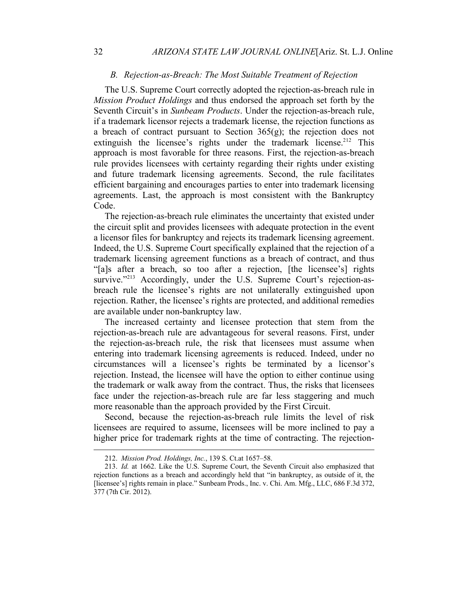#### *B. Rejection-as-Breach: The Most Suitable Treatment of Rejection*

The U.S. Supreme Court correctly adopted the rejection-as-breach rule in *Mission Product Holdings* and thus endorsed the approach set forth by the Seventh Circuit's in *Sunbeam Products*. Under the rejection-as-breach rule, if a trademark licensor rejects a trademark license, the rejection functions as a breach of contract pursuant to Section  $365(g)$ ; the rejection does not extinguish the licensee's rights under the trademark license.<sup>212</sup> This approach is most favorable for three reasons. First, the rejection-as-breach rule provides licensees with certainty regarding their rights under existing and future trademark licensing agreements. Second, the rule facilitates efficient bargaining and encourages parties to enter into trademark licensing agreements. Last, the approach is most consistent with the Bankruptcy Code.

The rejection-as-breach rule eliminates the uncertainty that existed under the circuit split and provides licensees with adequate protection in the event a licensor files for bankruptcy and rejects its trademark licensing agreement. Indeed, the U.S. Supreme Court specifically explained that the rejection of a trademark licensing agreement functions as a breach of contract, and thus "[a]s after a breach, so too after a rejection, [the licensee's] rights survive."<sup>213</sup> Accordingly, under the U.S. Supreme Court's rejection-asbreach rule the licensee's rights are not unilaterally extinguished upon rejection. Rather, the licensee's rights are protected, and additional remedies are available under non-bankruptcy law.

The increased certainty and licensee protection that stem from the rejection-as-breach rule are advantageous for several reasons. First, under the rejection-as-breach rule, the risk that licensees must assume when entering into trademark licensing agreements is reduced. Indeed, under no circumstances will a licensee's rights be terminated by a licensor's rejection. Instead, the licensee will have the option to either continue using the trademark or walk away from the contract. Thus, the risks that licensees face under the rejection-as-breach rule are far less staggering and much more reasonable than the approach provided by the First Circuit.

Second, because the rejection-as-breach rule limits the level of risk licensees are required to assume, licensees will be more inclined to pay a higher price for trademark rights at the time of contracting. The rejection-

<sup>212.</sup> *Mission Prod. Holdings, Inc.*, 139 S. Ct.at 1657–58.

<sup>213.</sup> *Id.* at 1662. Like the U.S. Supreme Court, the Seventh Circuit also emphasized that rejection functions as a breach and accordingly held that "in bankruptcy, as outside of it, the [licensee's] rights remain in place." Sunbeam Prods., Inc. v. Chi. Am. Mfg., LLC, 686 F.3d 372, 377 (7th Cir. 2012).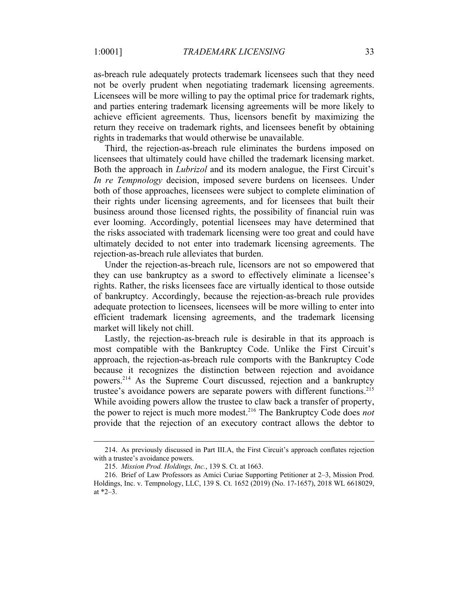as-breach rule adequately protects trademark licensees such that they need not be overly prudent when negotiating trademark licensing agreements. Licensees will be more willing to pay the optimal price for trademark rights, and parties entering trademark licensing agreements will be more likely to achieve efficient agreements. Thus, licensors benefit by maximizing the return they receive on trademark rights, and licensees benefit by obtaining rights in trademarks that would otherwise be unavailable.

Third, the rejection-as-breach rule eliminates the burdens imposed on licensees that ultimately could have chilled the trademark licensing market. Both the approach in *Lubrizol* and its modern analogue, the First Circuit's *In re Tempnology* decision, imposed severe burdens on licensees. Under both of those approaches, licensees were subject to complete elimination of their rights under licensing agreements, and for licensees that built their business around those licensed rights, the possibility of financial ruin was ever looming. Accordingly, potential licensees may have determined that the risks associated with trademark licensing were too great and could have ultimately decided to not enter into trademark licensing agreements. The rejection-as-breach rule alleviates that burden.

Under the rejection-as-breach rule, licensors are not so empowered that they can use bankruptcy as a sword to effectively eliminate a licensee's rights. Rather, the risks licensees face are virtually identical to those outside of bankruptcy. Accordingly, because the rejection-as-breach rule provides adequate protection to licensees, licensees will be more willing to enter into efficient trademark licensing agreements, and the trademark licensing market will likely not chill.

Lastly, the rejection-as-breach rule is desirable in that its approach is most compatible with the Bankruptcy Code. Unlike the First Circuit's approach, the rejection-as-breach rule comports with the Bankruptcy Code because it recognizes the distinction between rejection and avoidance powers.214 As the Supreme Court discussed, rejection and a bankruptcy trustee's avoidance powers are separate powers with different functions.<sup>215</sup> While avoiding powers allow the trustee to claw back a transfer of property, the power to reject is much more modest.216 The Bankruptcy Code does *not* provide that the rejection of an executory contract allows the debtor to

<sup>214.</sup> As previously discussed in Part III.A, the First Circuit's approach conflates rejection with a trustee's avoidance powers.

<sup>215.</sup> *Mission Prod. Holdings, Inc.*, 139 S. Ct. at 1663.

<sup>216.</sup> Brief of Law Professors as Amici Curiae Supporting Petitioner at 2–3, Mission Prod. Holdings, Inc. v. Tempnology, LLC, 139 S. Ct. 1652 (2019) (No. 17-1657), 2018 WL 6618029, at \*2–3.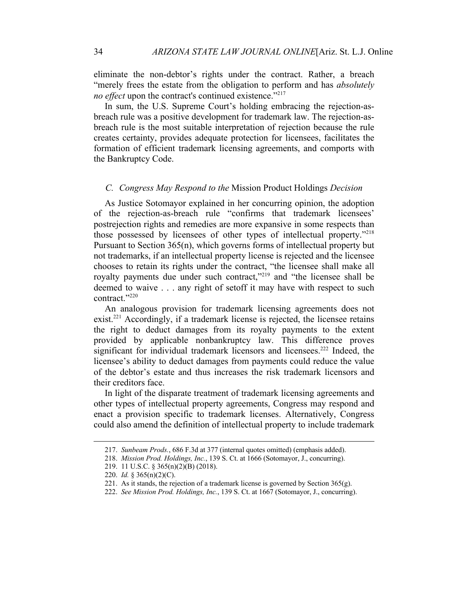eliminate the non-debtor's rights under the contract. Rather, a breach "merely frees the estate from the obligation to perform and has *absolutely no effect* upon the contract's continued existence."<sup>217</sup>

In sum, the U.S. Supreme Court's holding embracing the rejection-asbreach rule was a positive development for trademark law. The rejection-asbreach rule is the most suitable interpretation of rejection because the rule creates certainty, provides adequate protection for licensees, facilitates the formation of efficient trademark licensing agreements, and comports with the Bankruptcy Code.

#### *C. Congress May Respond to the* Mission Product Holdings *Decision*

As Justice Sotomayor explained in her concurring opinion, the adoption of the rejection-as-breach rule "confirms that trademark licensees' postrejection rights and remedies are more expansive in some respects than those possessed by licensees of other types of intellectual property."218 Pursuant to Section 365(n), which governs forms of intellectual property but not trademarks, if an intellectual property license is rejected and the licensee chooses to retain its rights under the contract, "the licensee shall make all royalty payments due under such contract,"219 and "the licensee shall be deemed to waive . . . any right of setoff it may have with respect to such contract."220

An analogous provision for trademark licensing agreements does not  $exist.<sup>221</sup> Accordingly, if a trademark license is rejected, the license retains$ the right to deduct damages from its royalty payments to the extent provided by applicable nonbankruptcy law. This difference proves significant for individual trademark licensors and licensees.<sup>222</sup> Indeed, the licensee's ability to deduct damages from payments could reduce the value of the debtor's estate and thus increases the risk trademark licensors and their creditors face.

In light of the disparate treatment of trademark licensing agreements and other types of intellectual property agreements, Congress may respond and enact a provision specific to trademark licenses. Alternatively, Congress could also amend the definition of intellectual property to include trademark

<sup>217.</sup> *Sunbeam Prods.*, 686 F.3d at 377 (internal quotes omitted) (emphasis added).

<sup>218.</sup> *Mission Prod. Holdings, Inc.*, 139 S. Ct. at 1666 (Sotomayor, J., concurring).

<sup>219.</sup> 11 U.S.C. § 365(n)(2)(B) (2018).

<sup>220.</sup> *Id.* § 365(n)(2)(C).

<sup>221.</sup> As it stands, the rejection of a trademark license is governed by Section  $365(g)$ .

<sup>222.</sup> *See Mission Prod. Holdings, Inc.*, 139 S. Ct. at 1667 (Sotomayor, J., concurring).